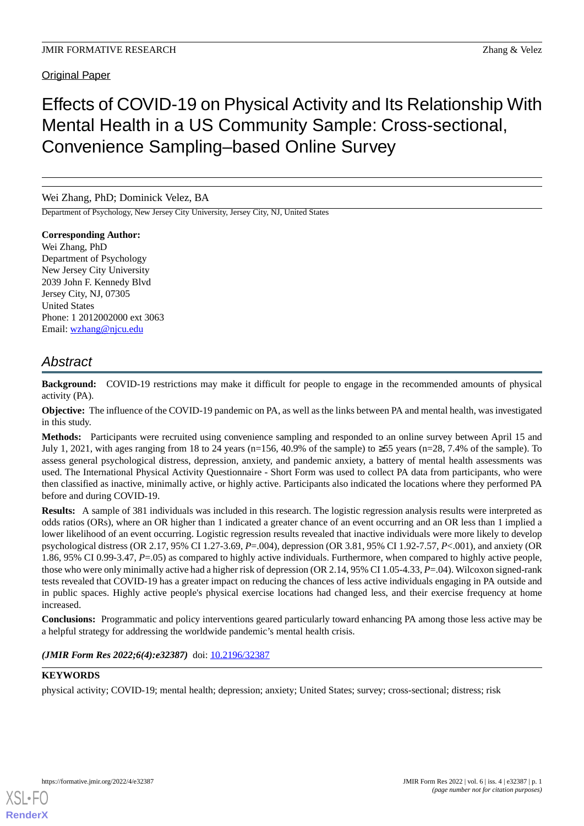# Effects of COVID-19 on Physical Activity and Its Relationship With Mental Health in a US Community Sample: Cross-sectional, Convenience Sampling–based Online Survey

# Wei Zhang, PhD; Dominick Velez, BA

Department of Psychology, New Jersey City University, Jersey City, NJ, United States

**Corresponding Author:** Wei Zhang, PhD Department of Psychology New Jersey City University 2039 John F. Kennedy Blvd Jersey City, NJ, 07305 United States Phone: 1 2012002000 ext 3063 Email: [wzhang@njcu.edu](mailto:wzhang@njcu.edu)

# *Abstract*

**Background:** COVID-19 restrictions may make it difficult for people to engage in the recommended amounts of physical activity (PA).

**Objective:** The influence of the COVID-19 pandemic on PA, as well as the links between PA and mental health, was investigated in this study.

**Methods:** Participants were recruited using convenience sampling and responded to an online survey between April 15 and July 1, 2021, with ages ranging from 18 to 24 years (n=156, 40.9% of the sample) to  $\geq$ 55 years (n=28, 7.4% of the sample). To assess general psychological distress, depression, anxiety, and pandemic anxiety, a battery of mental health assessments was used. The International Physical Activity Questionnaire - Short Form was used to collect PA data from participants, who were then classified as inactive, minimally active, or highly active. Participants also indicated the locations where they performed PA before and during COVID-19.

**Results:** A sample of 381 individuals was included in this research. The logistic regression analysis results were interpreted as odds ratios (ORs), where an OR higher than 1 indicated a greater chance of an event occurring and an OR less than 1 implied a lower likelihood of an event occurring. Logistic regression results revealed that inactive individuals were more likely to develop psychological distress (OR 2.17, 95% CI 1.27-3.69, *P*=.004), depression (OR 3.81, 95% CI 1.92-7.57, *P*<.001), and anxiety (OR 1.86, 95% CI 0.99-3.47, *P*=.05) as compared to highly active individuals. Furthermore, when compared to highly active people, those who were only minimally active had a higher risk of depression (OR 2.14, 95% CI 1.05-4.33, *P*=.04). Wilcoxon signed-rank tests revealed that COVID-19 has a greater impact on reducing the chances of less active individuals engaging in PA outside and in public spaces. Highly active people's physical exercise locations had changed less, and their exercise frequency at home increased.

**Conclusions:** Programmatic and policy interventions geared particularly toward enhancing PA among those less active may be a helpful strategy for addressing the worldwide pandemic's mental health crisis.

*(JMIR Form Res 2022;6(4):e32387)* doi: [10.2196/32387](http://dx.doi.org/10.2196/32387)

# **KEYWORDS**

physical activity; COVID-19; mental health; depression; anxiety; United States; survey; cross-sectional; distress; risk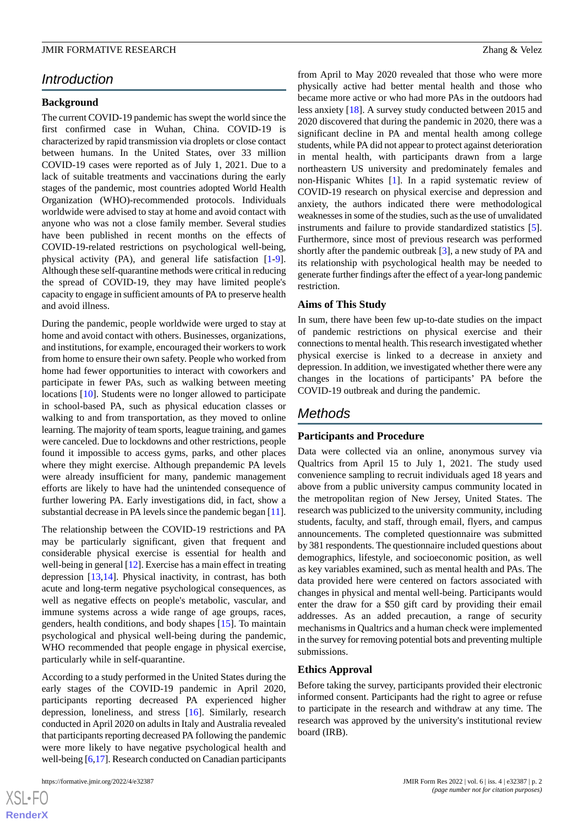# *Introduction*

### **Background**

The current COVID-19 pandemic has swept the world since the first confirmed case in Wuhan, China. COVID-19 is characterized by rapid transmission via droplets or close contact between humans. In the United States, over 33 million COVID-19 cases were reported as of July 1, 2021. Due to a lack of suitable treatments and vaccinations during the early stages of the pandemic, most countries adopted World Health Organization (WHO)-recommended protocols. Individuals worldwide were advised to stay at home and avoid contact with anyone who was not a close family member. Several studies have been published in recent months on the effects of COVID-19-related restrictions on psychological well-being, physical activity (PA), and general life satisfaction [\[1-](#page-14-0)[9\]](#page-15-0). Although these self-quarantine methods were critical in reducing the spread of COVID-19, they may have limited people's capacity to engage in sufficient amounts of PA to preserve health and avoid illness.

During the pandemic, people worldwide were urged to stay at home and avoid contact with others. Businesses, organizations, and institutions, for example, encouraged their workers to work from home to ensure their own safety. People who worked from home had fewer opportunities to interact with coworkers and participate in fewer PAs, such as walking between meeting locations [[10\]](#page-15-1). Students were no longer allowed to participate in school-based PA, such as physical education classes or walking to and from transportation, as they moved to online learning. The majority of team sports, league training, and games were canceled. Due to lockdowns and other restrictions, people found it impossible to access gyms, parks, and other places where they might exercise. Although prepandemic PA levels were already insufficient for many, pandemic management efforts are likely to have had the unintended consequence of further lowering PA. Early investigations did, in fact, show a substantial decrease in PA levels since the pandemic began [\[11\]](#page-15-2).

The relationship between the COVID-19 restrictions and PA may be particularly significant, given that frequent and considerable physical exercise is essential for health and well-being in general [[12\]](#page-15-3). Exercise has a main effect in treating depression [[13,](#page-15-4)[14](#page-15-5)]. Physical inactivity, in contrast, has both acute and long-term negative psychological consequences, as well as negative effects on people's metabolic, vascular, and immune systems across a wide range of age groups, races, genders, health conditions, and body shapes [\[15](#page-15-6)]. To maintain psychological and physical well-being during the pandemic, WHO recommended that people engage in physical exercise, particularly while in self-quarantine.

According to a study performed in the United States during the early stages of the COVID-19 pandemic in April 2020, participants reporting decreased PA experienced higher depression, loneliness, and stress [\[16](#page-15-7)]. Similarly, research conducted in April 2020 on adults in Italy and Australia revealed that participants reporting decreased PA following the pandemic were more likely to have negative psychological health and well-being [[6,](#page-14-1)[17\]](#page-15-8). Research conducted on Canadian participants

 $XSI - F($ **[RenderX](http://www.renderx.com/)** from April to May 2020 revealed that those who were more physically active had better mental health and those who became more active or who had more PAs in the outdoors had less anxiety [\[18](#page-15-9)]. A survey study conducted between 2015 and 2020 discovered that during the pandemic in 2020, there was a significant decline in PA and mental health among college students, while PA did not appear to protect against deterioration in mental health, with participants drawn from a large northeastern US university and predominately females and non-Hispanic Whites [[1\]](#page-14-0). In a rapid systematic review of COVID-19 research on physical exercise and depression and anxiety, the authors indicated there were methodological weaknesses in some of the studies, such as the use of unvalidated instruments and failure to provide standardized statistics [[5\]](#page-14-2). Furthermore, since most of previous research was performed shortly after the pandemic outbreak [[3\]](#page-14-3), a new study of PA and its relationship with psychological health may be needed to generate further findings after the effect of a year-long pandemic restriction.

#### **Aims of This Study**

In sum, there have been few up-to-date studies on the impact of pandemic restrictions on physical exercise and their connections to mental health. This research investigated whether physical exercise is linked to a decrease in anxiety and depression. In addition, we investigated whether there were any changes in the locations of participants' PA before the COVID-19 outbreak and during the pandemic.

# *Methods*

### **Participants and Procedure**

Data were collected via an online, anonymous survey via Qualtrics from April 15 to July 1, 2021. The study used convenience sampling to recruit individuals aged 18 years and above from a public university campus community located in the metropolitan region of New Jersey, United States. The research was publicized to the university community, including students, faculty, and staff, through email, flyers, and campus announcements. The completed questionnaire was submitted by 381 respondents. The questionnaire included questions about demographics, lifestyle, and socioeconomic position, as well as key variables examined, such as mental health and PAs. The data provided here were centered on factors associated with changes in physical and mental well-being. Participants would enter the draw for a \$50 gift card by providing their email addresses. As an added precaution, a range of security mechanisms in Qualtrics and a human check were implemented in the survey for removing potential bots and preventing multiple submissions.

### **Ethics Approval**

Before taking the survey, participants provided their electronic informed consent. Participants had the right to agree or refuse to participate in the research and withdraw at any time. The research was approved by the university's institutional review board (IRB).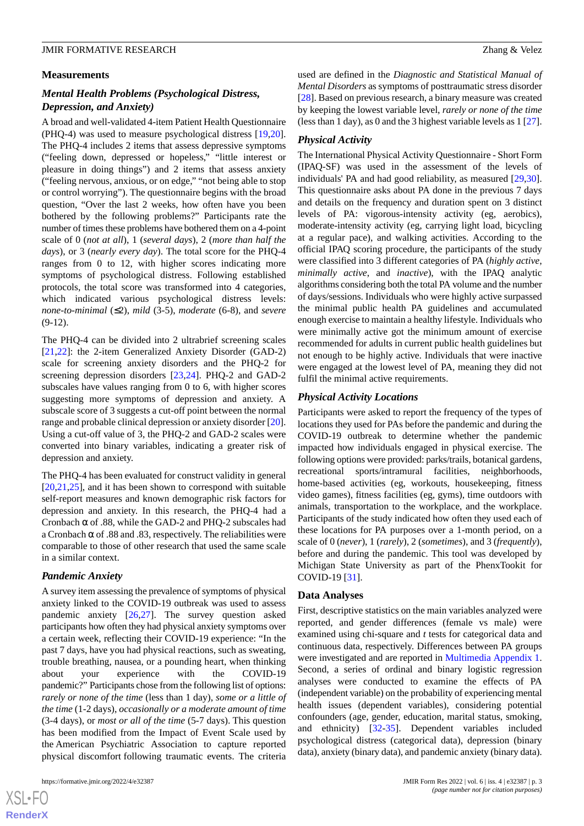### **Measurements**

# *Mental Health Problems (Psychological Distress, Depression, and Anxiety)*

A broad and well-validated 4-item Patient Health Questionnaire (PHQ-4) was used to measure psychological distress [\[19](#page-15-10),[20\]](#page-15-11). The PHQ-4 includes 2 items that assess depressive symptoms ("feeling down, depressed or hopeless," "little interest or pleasure in doing things") and 2 items that assess anxiety ("feeling nervous, anxious, or on edge," "not being able to stop or control worrying"). The questionnaire begins with the broad question, "Over the last 2 weeks, how often have you been bothered by the following problems?" Participants rate the number of times these problems have bothered them on a 4-point scale of 0 (*not at all*), 1 (*several days*), 2 (*more than half the days*), or 3 (*nearly every day*). The total score for the PHQ-4 ranges from 0 to 12, with higher scores indicating more symptoms of psychological distress. Following established protocols, the total score was transformed into 4 categories, which indicated various psychological distress levels: *none-to-minimal* (≤2), *mild* (3-5), *moderate* (6-8), and *severe* (9-12).

The PHQ-4 can be divided into 2 ultrabrief screening scales [[21](#page-15-12)[,22](#page-15-13)]: the 2-item Generalized Anxiety Disorder (GAD-2) scale for screening anxiety disorders and the PHQ-2 for screening depression disorders [\[23](#page-15-14),[24\]](#page-15-15). PHQ-2 and GAD-2 subscales have values ranging from 0 to 6, with higher scores suggesting more symptoms of depression and anxiety. A subscale score of 3 suggests a cut-off point between the normal range and probable clinical depression or anxiety disorder [[20\]](#page-15-11). Using a cut-off value of 3, the PHQ-2 and GAD-2 scales were converted into binary variables, indicating a greater risk of depression and anxiety.

The PHQ-4 has been evaluated for construct validity in general  $[20,21,25]$  $[20,21,25]$  $[20,21,25]$  $[20,21,25]$  $[20,21,25]$ , and it has been shown to correspond with suitable self-report measures and known demographic risk factors for depression and anxiety. In this research, the PHQ-4 had a Cronbach  $\alpha$  of .88, while the GAD-2 and PHQ-2 subscales had a Cronbach  $\alpha$  of .88 and .83, respectively. The reliabilities were comparable to those of other research that used the same scale in a similar context.

# *Pandemic Anxiety*

A survey item assessing the prevalence of symptoms of physical anxiety linked to the COVID-19 outbreak was used to assess pandemic anxiety [\[26](#page-15-17),[27\]](#page-15-18). The survey question asked participants how often they had physical anxiety symptoms over a certain week, reflecting their COVID-19 experience: "In the past 7 days, have you had physical reactions, such as sweating, trouble breathing, nausea, or a pounding heart, when thinking about your experience with the COVID-19 pandemic?" Participants chose from the following list of options: *rarely or none of the time* (less than 1 day), *some or a little of the time* (1-2 days), *occasionally or a moderate amount of time* (3-4 days), or *most or all of the time* (5-7 days). This question has been modified from the Impact of Event Scale used by the American Psychiatric Association to capture reported physical discomfort following traumatic events. The criteria

used are defined in the *Diagnostic and Statistical Manual of Mental Disorders* as symptoms of posttraumatic stress disorder [[28\]](#page-15-19). Based on previous research, a binary measure was created by keeping the lowest variable level, *rarely or none of the time* (less than 1 day), as 0 and the 3 highest variable levels as 1 [[27\]](#page-15-18).

# *Physical Activity*

The International Physical Activity Questionnaire - Short Form (IPAQ-SF) was used in the assessment of the levels of individuals' PA and had good reliability, as measured [\[29](#page-15-20),[30\]](#page-16-0). This questionnaire asks about PA done in the previous 7 days and details on the frequency and duration spent on 3 distinct levels of PA: vigorous-intensity activity (eg, aerobics), moderate-intensity activity (eg, carrying light load, bicycling at a regular pace), and walking activities. According to the official IPAQ scoring procedure, the participants of the study were classified into 3 different categories of PA (*highly active*, *minimally active*, and *inactive*), with the IPAQ analytic algorithms considering both the total PA volume and the number of days/sessions. Individuals who were highly active surpassed the minimal public health PA guidelines and accumulated enough exercise to maintain a healthy lifestyle. Individuals who were minimally active got the minimum amount of exercise recommended for adults in current public health guidelines but not enough to be highly active. Individuals that were inactive were engaged at the lowest level of PA, meaning they did not fulfil the minimal active requirements.

# *Physical Activity Locations*

Participants were asked to report the frequency of the types of locations they used for PAs before the pandemic and during the COVID-19 outbreak to determine whether the pandemic impacted how individuals engaged in physical exercise. The following options were provided: parks/trails, botanical gardens, recreational sports/intramural facilities, neighborhoods, home-based activities (eg, workouts, housekeeping, fitness video games), fitness facilities (eg, gyms), time outdoors with animals, transportation to the workplace, and the workplace. Participants of the study indicated how often they used each of these locations for PA purposes over a 1-month period, on a scale of 0 (*never*), 1 (*rarely*), 2 (*sometimes*), and 3 (*frequently*), before and during the pandemic. This tool was developed by Michigan State University as part of the PhenxTookit for COVID-19 [[31\]](#page-16-1).

# **Data Analyses**

First, descriptive statistics on the main variables analyzed were reported, and gender differences (female vs male) were examined using chi-square and *t* tests for categorical data and continuous data, respectively. Differences between PA groups were investigated and are reported in [Multimedia Appendix 1](#page-14-4). Second, a series of ordinal and binary logistic regression analyses were conducted to examine the effects of PA (independent variable) on the probability of experiencing mental health issues (dependent variables), considering potential confounders (age, gender, education, marital status, smoking, and ethnicity) [[32](#page-16-2)[-35](#page-16-3)]. Dependent variables included psychological distress (categorical data), depression (binary data), anxiety (binary data), and pandemic anxiety (binary data).

 $XS$  $\cdot$ FC **[RenderX](http://www.renderx.com/)**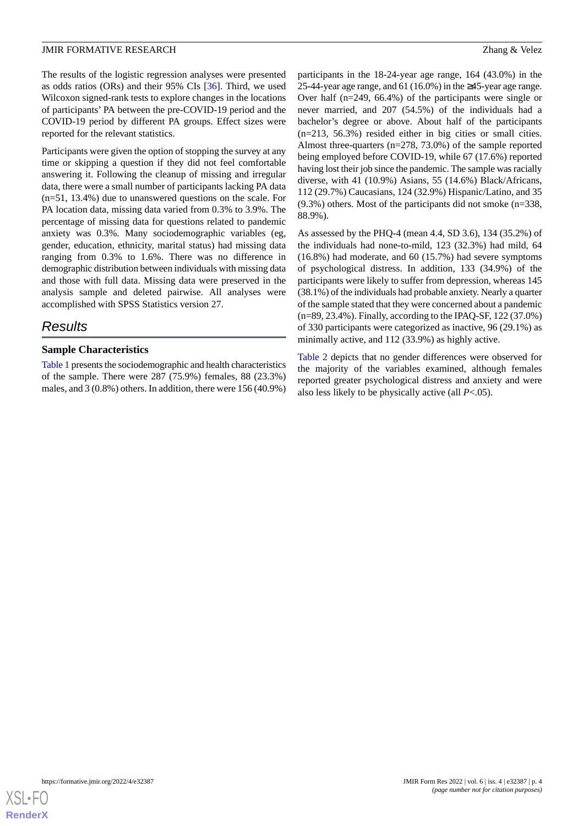The results of the logistic regression analyses were presented as odds ratios (ORs) and their 95% CIs [\[36](#page-16-4)]. Third, we used Wilcoxon signed-rank tests to explore changes in the locations of participants'PA between the pre-COVID-19 period and the COVID-19 period by different PA groups. Effect sizes were reported for the relevant statistics.

Participants were given the option of stopping the survey at any time or skipping a question if they did not feel comfortable answering it. Following the cleanup of missing and irregular data, there were a small number of participants lacking PA data (n=51, 13.4%) due to unanswered questions on the scale. For PA location data, missing data varied from 0.3% to 3.9%. The percentage of missing data for questions related to pandemic anxiety was 0.3%. Many sociodemographic variables (eg, gender, education, ethnicity, marital status) had missing data ranging from 0.3% to 1.6%. There was no difference in demographic distribution between individuals with missing data and those with full data. Missing data were preserved in the analysis sample and deleted pairwise. All analyses were accomplished with SPSS Statistics version 27.

# *Results*

### **Sample Characteristics**

[Table 1](#page-4-0) presents the sociodemographic and health characteristics of the sample. There were 287 (75.9%) females, 88 (23.3%) males, and 3 (0.8%) others. In addition, there were 156 (40.9%)

participants in the 18-24-year age range, 164 (43.0%) in the 25-44-year age range, and 61 (16.0%) in the ≥45-year age range. Over half (n=249, 66.4%) of the participants were single or never married, and 207 (54.5%) of the individuals had a bachelor's degree or above. About half of the participants (n=213, 56.3%) resided either in big cities or small cities. Almost three-quarters (n=278, 73.0%) of the sample reported being employed before COVID-19, while 67 (17.6%) reported having lost their job since the pandemic. The sample was racially diverse, with 41 (10.9%) Asians, 55 (14.6%) Black/Africans, 112 (29.7%) Caucasians, 124 (32.9%) Hispanic/Latino, and 35 (9.3%) others. Most of the participants did not smoke (n=338, 88.9%).

As assessed by the PHQ-4 (mean 4.4, SD 3.6), 134 (35.2%) of the individuals had none-to-mild, 123 (32.3%) had mild, 64 (16.8%) had moderate, and 60 (15.7%) had severe symptoms of psychological distress. In addition, 133 (34.9%) of the participants were likely to suffer from depression, whereas 145 (38.1%) of the individuals had probable anxiety. Nearly a quarter of the sample stated that they were concerned about a pandemic (n=89, 23.4%). Finally, according to the IPAQ-SF, 122 (37.0%) of 330 participants were categorized as inactive, 96 (29.1%) as minimally active, and 112 (33.9%) as highly active.

[Table 2](#page-6-0) depicts that no gender differences were observed for the majority of the variables examined, although females reported greater psychological distress and anxiety and were also less likely to be physically active (all *P*<.05).

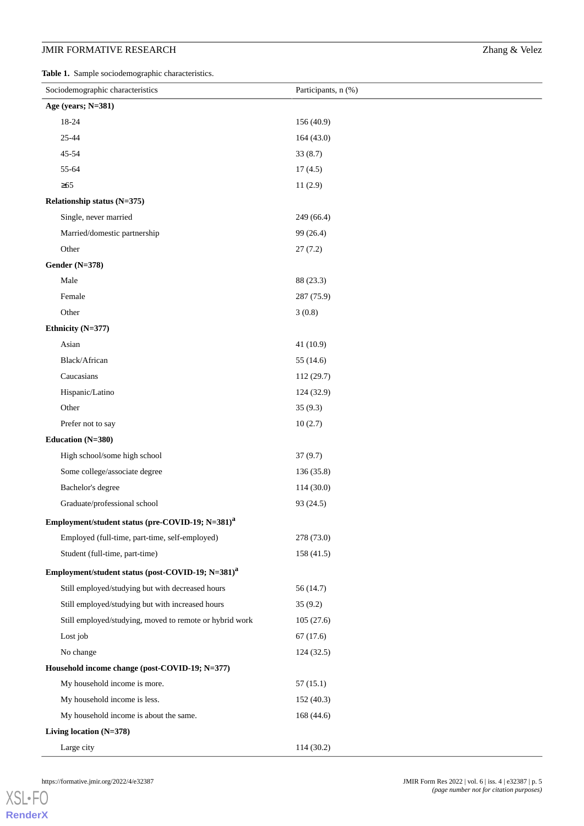<span id="page-4-0"></span>**Table 1.** Sample sociodemographic characteristics.

| Sociodemographic characteristics                              | Participants, n (%) |
|---------------------------------------------------------------|---------------------|
| Age (years; N=381)                                            |                     |
| 18-24                                                         | 156 (40.9)          |
| 25-44                                                         | 164(43.0)           |
| 45-54                                                         | 33(8.7)             |
| 55-64                                                         | 17(4.5)             |
| $\geq 65$                                                     | 11(2.9)             |
| Relationship status (N=375)                                   |                     |
| Single, never married                                         | 249 (66.4)          |
| Married/domestic partnership                                  | 99 (26.4)           |
| Other                                                         | 27(7.2)             |
| <b>Gender (N=378)</b>                                         |                     |
| Male                                                          | 88 (23.3)           |
| Female                                                        | 287 (75.9)          |
| Other                                                         | 3(0.8)              |
| Ethnicity (N=377)                                             |                     |
| Asian                                                         | 41(10.9)            |
| Black/African                                                 | 55 (14.6)           |
| Caucasians                                                    | 112 (29.7)          |
| Hispanic/Latino                                               | 124 (32.9)          |
| Other                                                         | 35(9.3)             |
| Prefer not to say                                             | 10(2.7)             |
| Education (N=380)                                             |                     |
| High school/some high school                                  | 37(9.7)             |
| Some college/associate degree                                 | 136 (35.8)          |
| Bachelor's degree                                             | 114(30.0)           |
| Graduate/professional school                                  | 93 (24.5)           |
| Employment/student status (pre-COVID-19; N=381) <sup>a</sup>  |                     |
| Employed (full-time, part-time, self-employed)                | 278 (73.0)          |
| Student (full-time, part-time)                                | 158 (41.5)          |
| Employment/student status (post-COVID-19; N=381) <sup>a</sup> |                     |
| Still employed/studying but with decreased hours              | 56(14.7)            |
| Still employed/studying but with increased hours              | 35(9.2)             |
| Still employed/studying, moved to remote or hybrid work       | 105(27.6)           |
| Lost job                                                      | 67(17.6)            |
| No change                                                     | 124(32.5)           |
| Household income change (post-COVID-19; N=377)                |                     |
| My household income is more.                                  | 57(15.1)            |
| My household income is less.                                  | 152 (40.3)          |
| My household income is about the same.                        | 168 (44.6)          |
| Living location (N=378)                                       |                     |
| Large city                                                    | 114 (30.2)          |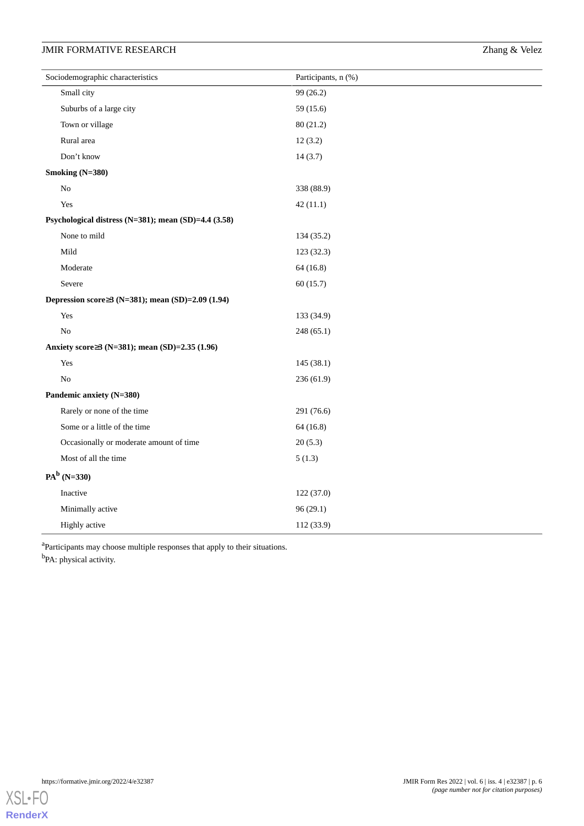| Sociodemographic characteristics                     | Participants, n (%) |
|------------------------------------------------------|---------------------|
| Small city                                           | 99 (26.2)           |
| Suburbs of a large city                              | 59 (15.6)           |
| Town or village                                      | 80 (21.2)           |
| Rural area                                           | 12(3.2)             |
| Don't know                                           | 14(3.7)             |
| Smoking (N=380)                                      |                     |
| No                                                   | 338 (88.9)          |
| Yes                                                  | 42(11.1)            |
| Psychological distress (N=381); mean (SD)=4.4 (3.58) |                     |
| None to mild                                         | 134 (35.2)          |
| Mild                                                 | 123 (32.3)          |
| Moderate                                             | 64(16.8)            |
| Severe                                               | 60(15.7)            |
| Depression score≥3 (N=381); mean (SD)=2.09 (1.94)    |                     |
| Yes                                                  | 133 (34.9)          |
| $\rm No$                                             | 248 (65.1)          |
| Anxiety score≥3 (N=381); mean (SD)=2.35 (1.96)       |                     |
| Yes                                                  | 145 (38.1)          |
| No                                                   | 236 (61.9)          |
| Pandemic anxiety (N=380)                             |                     |
| Rarely or none of the time                           | 291 (76.6)          |
| Some or a little of the time                         | 64(16.8)            |
| Occasionally or moderate amount of time              | 20(5.3)             |
| Most of all the time                                 | 5(1.3)              |
| $PA^b$ (N=330)                                       |                     |
| Inactive                                             | 122 (37.0)          |
| Minimally active                                     | 96(29.1)            |
| Highly active                                        | 112 (33.9)          |

<sup>a</sup>Participants may choose multiple responses that apply to their situations. <sup>b</sup>PA: physical activity.

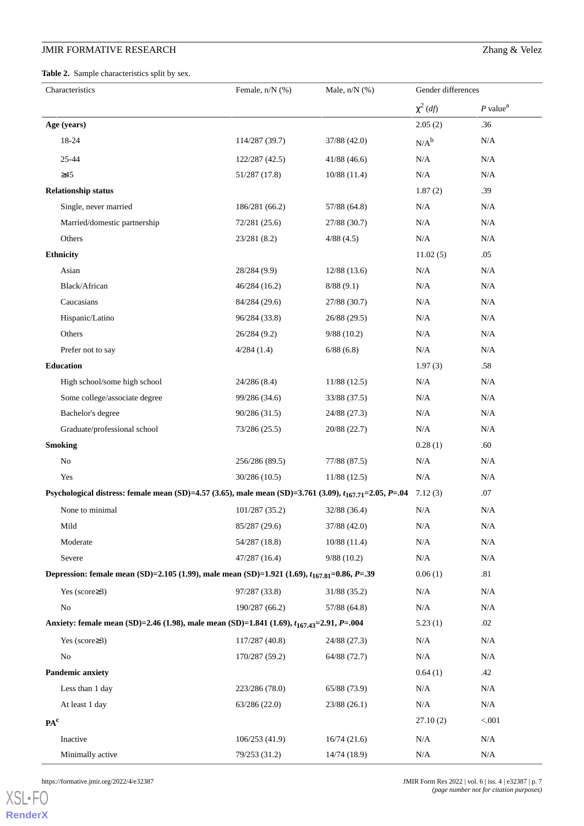<span id="page-6-0"></span>**Table 2.** Sample characteristics split by sex.

| Characteristics                                                                                              | Female, $n/N$ (%) | Male, $n/N$ $(\%)$ | Gender differences |                        |
|--------------------------------------------------------------------------------------------------------------|-------------------|--------------------|--------------------|------------------------|
|                                                                                                              |                   |                    | $\chi^2$ (df)      | $P$ value <sup>a</sup> |
| Age (years)                                                                                                  |                   |                    | 2.05(2)            | .36                    |
| 18-24                                                                                                        | 114/287 (39.7)    | 37/88 (42.0)       | $N/A^b$            | N/A                    |
| 25-44                                                                                                        | 122/287 (42.5)    | 41/88(46.6)        | N/A                | N/A                    |
| $\geq45$                                                                                                     | 51/287 (17.8)     | 10/88(11.4)        | $\rm N/A$          | N/A                    |
| <b>Relationship status</b>                                                                                   |                   |                    | 1.87(2)            | .39                    |
| Single, never married                                                                                        | 186/281 (66.2)    | 57/88 (64.8)       | N/A                | N/A                    |
| Married/domestic partnership                                                                                 | 72/281(25.6)      | 27/88 (30.7)       | N/A                | $\rm N/A$              |
| Others                                                                                                       | 23/281 (8.2)      | 4/88(4.5)          | $\rm N/A$          | N/A                    |
| <b>Ethnicity</b>                                                                                             |                   |                    | 11.02(5)           | .05                    |
| Asian                                                                                                        | 28/284 (9.9)      | 12/88(13.6)        | $\rm N/A$          | N/A                    |
| Black/African                                                                                                | 46/284(16.2)      | 8/88(9.1)          | N/A                | N/A                    |
| Caucasians                                                                                                   | 84/284 (29.6)     | 27/88 (30.7)       | N/A                | N/A                    |
| Hispanic/Latino                                                                                              | 96/284 (33.8)     | 26/88 (29.5)       | N/A                | N/A                    |
| Others                                                                                                       | 26/284 (9.2)      | 9/88(10.2)         | N/A                | $\rm N/A$              |
| Prefer not to say                                                                                            | 4/284(1.4)        | 6/88(6.8)          | N/A                | N/A                    |
| Education                                                                                                    |                   |                    | 1.97(3)            | .58                    |
| High school/some high school                                                                                 | 24/286 (8.4)      | 11/88(12.5)        | N/A                | $\rm N/A$              |
| Some college/associate degree                                                                                | 99/286 (34.6)     | 33/88 (37.5)       | N/A                | N/A                    |
| Bachelor's degree                                                                                            | 90/286 (31.5)     | 24/88 (27.3)       | N/A                | N/A                    |
| Graduate/professional school                                                                                 | 73/286 (25.5)     | 20/88 (22.7)       | N/A                | N/A                    |
| <b>Smoking</b>                                                                                               |                   |                    | 0.28(1)            | .60                    |
| No                                                                                                           | 256/286 (89.5)    | 77/88 (87.5)       | N/A                | N/A                    |
| Yes                                                                                                          | 30/286 (10.5)     | 11/88(12.5)        | $\rm N/A$          | N/A                    |
| Psychological distress: female mean (SD)=4.57 (3.65), male mean (SD)=3.761 (3.09), $t_{167.71}$ =2.05, P=.04 |                   |                    | 7.12(3)            | .07                    |
| None to minimal                                                                                              | 101/287 (35.2)    | 32/88 (36.4)       | N/A                | N/A                    |
| Mild                                                                                                         | 85/287 (29.6)     | 37/88 (42.0)       | N/A                | $\rm N/A$              |
| Moderate                                                                                                     | 54/287 (18.8)     | 10/88(11.4)        | N/A                | N/A                    |
| Severe                                                                                                       | 47/287 (16.4)     | 9/88(10.2)         | N/A                | N/A                    |
| Depression: female mean (SD)=2.105 (1.99), male mean (SD)=1.921 (1.69), $t_{167,81}$ =0.86, P=.39            |                   |                    | 0.06(1)            | .81                    |
| Yes (score $\geq$ 3)                                                                                         | 97/287 (33.8)     | 31/88 (35.2)       | N/A                | $\rm N/A$              |
| No                                                                                                           | 190/287 (66.2)    | 57/88 (64.8)       | N/A                | N/A                    |
| Anxiety: female mean (SD)=2.46 (1.98), male mean (SD)=1.841 (1.69), t <sub>167.43</sub> =2.91, P=.004        |                   |                    | 5.23(1)            | .02                    |
| Yes (score $\geq$ 3)                                                                                         | 117/287 (40.8)    | 24/88 (27.3)       | N/A                | $\rm N/A$              |
| N <sub>o</sub>                                                                                               | 170/287 (59.2)    | 64/88 (72.7)       | N/A                | N/A                    |
| <b>Pandemic anxiety</b>                                                                                      |                   |                    | 0.64(1)            | .42                    |
| Less than 1 day                                                                                              | 223/286 (78.0)    | 65/88 (73.9)       | N/A                | N/A                    |
| At least 1 day                                                                                               | 63/286 (22.0)     | 23/88(26.1)        | N/A                | N/A                    |
| PA <sup>c</sup>                                                                                              |                   |                    | 27.10(2)           | < .001                 |
| Inactive                                                                                                     | 106/253(41.9)     | 16/74(21.6)        | N/A                | $\rm N/A$              |
| Minimally active                                                                                             | 79/253 (31.2)     | 14/74 (18.9)       | N/A                | N/A                    |

[XSL](http://www.w3.org/Style/XSL)•FO **[RenderX](http://www.renderx.com/)**

https://formative.jmir.org/2022/4/e32387 **State 2022** | vol. 6 | iss. 4 | e32387 | p. 7 *(page number not for citation purposes)*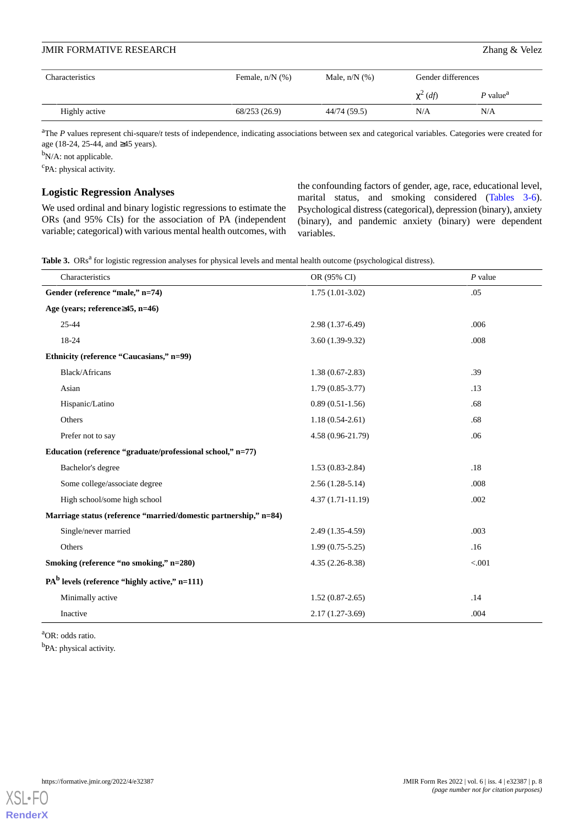| Characteristics | Female, $n/N$ (%) | Male, $n/N$ (%) | Gender differences |                        |
|-----------------|-------------------|-----------------|--------------------|------------------------|
|                 |                   |                 | $\chi^2$ (df)      | $P$ value <sup>a</sup> |
| Highly active   | 68/253 (26.9)     | 44/74 (59.5)    | N/A                | N/A                    |

<sup>a</sup>The *P* values represent chi-square/t tests of independence, indicating associations between sex and categorical variables. Categories were created for age (18-24, 25-44, and ≥45 years).

<sup>b</sup>N/A: not applicable.

<sup>c</sup>PA: physical activity.

### **Logistic Regression Analyses**

<span id="page-7-0"></span>We used ordinal and binary logistic regressions to estimate the ORs (and 95% CIs) for the association of PA (independent variable; categorical) with various mental health outcomes, with the confounding factors of gender, age, race, educational level, marital status, and smoking considered ([Tables 3-6\)](#page-7-0). Psychological distress (categorical), depression (binary), anxiety (binary), and pandemic anxiety (binary) were dependent variables.

|  |  |  |  |  |  | Table 3. ORs <sup>a</sup> for logistic regression analyses for physical levels and mental health outcome (psychological distress). |  |  |  |  |
|--|--|--|--|--|--|------------------------------------------------------------------------------------------------------------------------------------|--|--|--|--|
|--|--|--|--|--|--|------------------------------------------------------------------------------------------------------------------------------------|--|--|--|--|

| Characteristics                                                  | OR (95% CI)        | $P$ value |
|------------------------------------------------------------------|--------------------|-----------|
| Gender (reference "male," n=74)                                  | $1.75(1.01-3.02)$  | .05       |
| Age (years; reference $\geq$ 45, n=46)                           |                    |           |
| $25 - 44$                                                        | 2.98 (1.37-6.49)   | .006      |
| 18-24                                                            | $3.60(1.39-9.32)$  | .008      |
| Ethnicity (reference "Caucasians," n=99)                         |                    |           |
| Black/Africans                                                   | $1.38(0.67-2.83)$  | .39       |
| Asian                                                            | $1.79(0.85-3.77)$  | .13       |
| Hispanic/Latino                                                  | $0.89(0.51-1.56)$  | .68       |
| Others                                                           | $1.18(0.54-2.61)$  | .68       |
| Prefer not to say                                                | 4.58 (0.96-21.79)  | .06       |
| Education (reference "graduate/professional school," n=77)       |                    |           |
| Bachelor's degree                                                | $1.53(0.83-2.84)$  | .18       |
| Some college/associate degree                                    | $2.56(1.28-5.14)$  | .008      |
| High school/some high school                                     | $4.37(1.71-11.19)$ | .002      |
| Marriage status (reference "married/domestic partnership," n=84) |                    |           |
| Single/never married                                             | 2.49 (1.35-4.59)   | .003      |
| Others                                                           | $1.99(0.75-5.25)$  | .16       |
| Smoking (reference "no smoking," n=280)                          | $4.35(2.26-8.38)$  | < .001    |
| $PAb$ levels (reference "highly active," n=111)                  |                    |           |
| Minimally active                                                 | $1.52(0.87-2.65)$  | .14       |
| Inactive                                                         | $2.17(1.27-3.69)$  | .004      |

<sup>a</sup>OR: odds ratio.

<sup>b</sup>PA: physical activity.

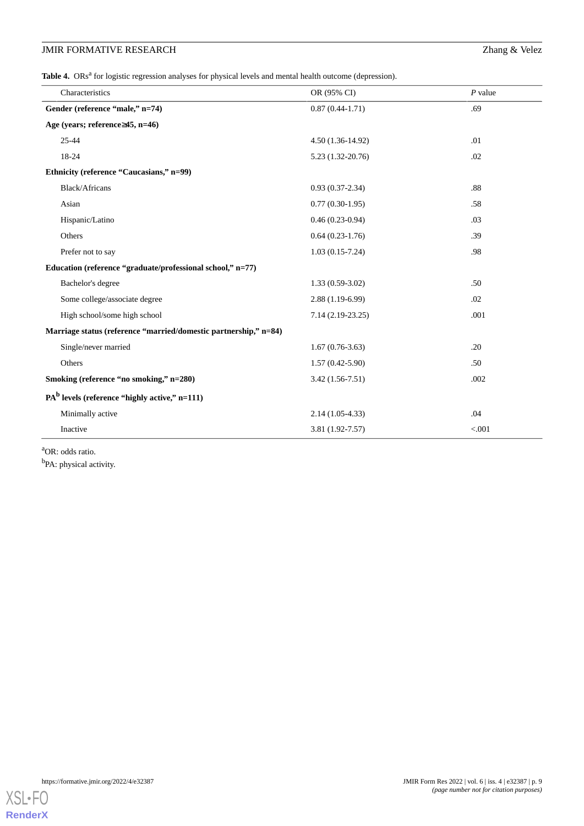Table 4. ORs<sup>a</sup> for logistic regression analyses for physical levels and mental health outcome (depression).

| Characteristics                                                  | OR (95% CI)         | $P$ value |
|------------------------------------------------------------------|---------------------|-----------|
| Gender (reference "male," n=74)                                  | $0.87(0.44-1.71)$   | .69       |
| Age (years; reference≥45, n=46)                                  |                     |           |
| 25-44                                                            | $4.50(1.36-14.92)$  | .01       |
| 18-24                                                            | $5.23(1.32-20.76)$  | .02       |
| Ethnicity (reference "Caucasians," n=99)                         |                     |           |
| <b>Black/Africans</b>                                            | $0.93(0.37-2.34)$   | .88       |
| Asian                                                            | $0.77(0.30-1.95)$   | .58       |
| Hispanic/Latino                                                  | $0.46(0.23-0.94)$   | .03       |
| Others                                                           | $0.64(0.23-1.76)$   | .39       |
| Prefer not to say                                                | $1.03(0.15-7.24)$   | .98       |
| Education (reference "graduate/professional school," n=77)       |                     |           |
| Bachelor's degree                                                | $1.33(0.59-3.02)$   | .50       |
| Some college/associate degree                                    | $2.88(1.19-6.99)$   | .02       |
| High school/some high school                                     | $7.14(2.19-23.25)$  | .001      |
| Marriage status (reference "married/domestic partnership," n=84) |                     |           |
| Single/never married                                             | $1.67(0.76-3.63)$   | .20       |
| Others                                                           | $1.57(0.42 - 5.90)$ | .50       |
| Smoking (reference "no smoking," n=280)                          | $3.42(1.56-7.51)$   | .002      |
| $PAb$ levels (reference "highly active," n=111)                  |                     |           |
| Minimally active                                                 | $2.14(1.05-4.33)$   | .04       |
| Inactive                                                         | 3.81 (1.92-7.57)    | < 0.001   |

<sup>a</sup>OR: odds ratio.

<sup>b</sup>PA: physical activity.

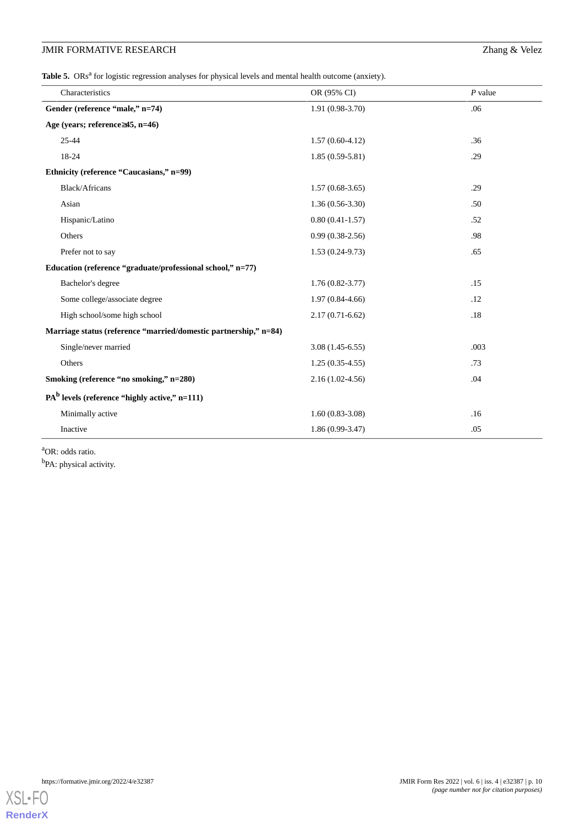Table 5. ORs<sup>a</sup> for logistic regression analyses for physical levels and mental health outcome (anxiety).

| Characteristics                                                  | OR (95% CI)         | $P$ value |
|------------------------------------------------------------------|---------------------|-----------|
| Gender (reference "male," n=74)                                  | $1.91(0.98-3.70)$   | .06       |
| Age (years; reference≥45, n=46)                                  |                     |           |
| 25-44                                                            | $1.57(0.60-4.12)$   | .36       |
| 18-24                                                            | $1.85(0.59-5.81)$   | .29       |
| Ethnicity (reference "Caucasians," n=99)                         |                     |           |
| Black/Africans                                                   | $1.57(0.68-3.65)$   | .29       |
| Asian                                                            | $1.36(0.56-3.30)$   | .50       |
| Hispanic/Latino                                                  | $0.80(0.41-1.57)$   | .52       |
| Others                                                           | $0.99(0.38-2.56)$   | .98       |
| Prefer not to say                                                | $1.53(0.24-9.73)$   | .65       |
| Education (reference "graduate/professional school," n=77)       |                     |           |
| Bachelor's degree                                                | $1.76(0.82 - 3.77)$ | .15       |
| Some college/associate degree                                    | $1.97(0.84 - 4.66)$ | .12       |
| High school/some high school                                     | $2.17(0.71-6.62)$   | .18       |
| Marriage status (reference "married/domestic partnership," n=84) |                     |           |
| Single/never married                                             | $3.08(1.45-6.55)$   | .003      |
| Others                                                           | $1.25(0.35-4.55)$   | .73       |
| Smoking (reference "no smoking," n=280)                          | $2.16(1.02-4.56)$   | .04       |
| $PAb$ levels (reference "highly active," n=111)                  |                     |           |
| Minimally active                                                 | $1.60(0.83-3.08)$   | .16       |
| Inactive                                                         | $1.86(0.99-3.47)$   | .05       |

<sup>a</sup>OR: odds ratio.

<sup>b</sup>PA: physical activity.

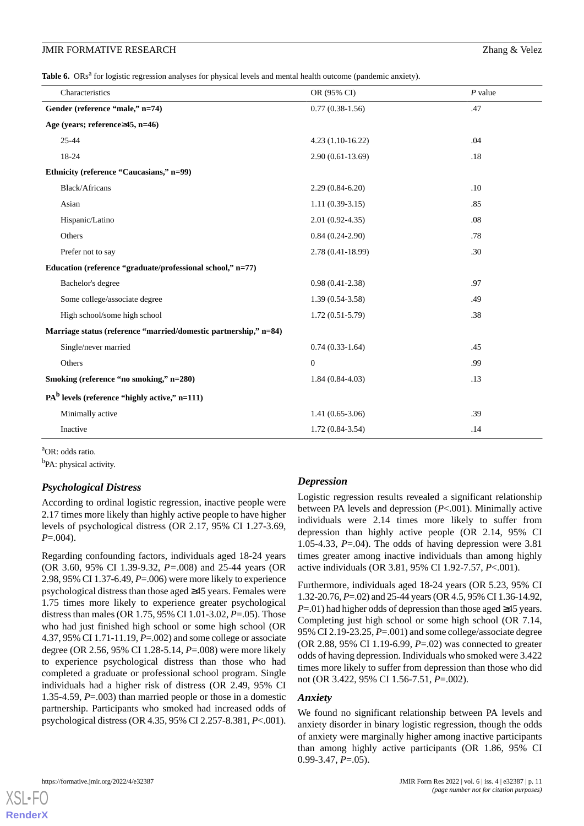Table 6. ORs<sup>a</sup> for logistic regression analyses for physical levels and mental health outcome (pandemic anxiety).

| Characteristics                                                  | OR (95% CI)        | $P$ value |
|------------------------------------------------------------------|--------------------|-----------|
| Gender (reference "male," n=74)                                  | $0.77(0.38-1.56)$  | .47       |
| Age (years; reference $\geq$ 45, n=46)                           |                    |           |
| $25 - 44$                                                        | $4.23(1.10-16.22)$ | .04       |
| 18-24                                                            | $2.90(0.61-13.69)$ | .18       |
| Ethnicity (reference "Caucasians," n=99)                         |                    |           |
| <b>Black/Africans</b>                                            | $2.29(0.84-6.20)$  | .10       |
| Asian                                                            | $1.11(0.39-3.15)$  | .85       |
| Hispanic/Latino                                                  | $2.01(0.92-4.35)$  | .08       |
| Others                                                           | $0.84(0.24-2.90)$  | .78       |
| Prefer not to say                                                | 2.78 (0.41-18.99)  | .30       |
| Education (reference "graduate/professional school," n=77)       |                    |           |
| Bachelor's degree                                                | $0.98(0.41-2.38)$  | .97       |
| Some college/associate degree                                    | $1.39(0.54-3.58)$  | .49       |
| High school/some high school                                     | $1.72(0.51-5.79)$  | .38       |
| Marriage status (reference "married/domestic partnership," n=84) |                    |           |
| Single/never married                                             | $0.74(0.33-1.64)$  | .45       |
| Others                                                           | $\boldsymbol{0}$   | .99       |
| Smoking (reference "no smoking," n=280)                          | $1.84(0.84-4.03)$  | .13       |
| $PAb$ levels (reference "highly active," n=111)                  |                    |           |
| Minimally active                                                 | $1.41(0.65-3.06)$  | .39       |
| Inactive                                                         | $1.72(0.84-3.54)$  | .14       |

<sup>a</sup>OR: odds ratio.

<sup>b</sup>PA: physical activity.

# *Psychological Distress*

According to ordinal logistic regression, inactive people were 2.17 times more likely than highly active people to have higher levels of psychological distress (OR 2.17, 95% CI 1.27-3.69, *P*=.004).

Regarding confounding factors, individuals aged 18-24 years (OR 3.60, 95% CI 1.39-9.32, *P=*.008) and 25-44 years (OR 2.98, 95% CI 1.37-6.49, *P*=.006) were more likely to experience psychological distress than those aged ≥45 years. Females were 1.75 times more likely to experience greater psychological distress than males (OR 1.75, 95% CI 1.01-3.02, *P*=.05). Those who had just finished high school or some high school (OR 4.37, 95% CI 1.71-11.19, *P*=.002) and some college or associate degree (OR 2.56, 95% CI 1.28-5.14, *P*=.008) were more likely to experience psychological distress than those who had completed a graduate or professional school program. Single individuals had a higher risk of distress (OR 2.49, 95% CI 1.35-4.59, *P*=.003) than married people or those in a domestic partnership. Participants who smoked had increased odds of psychological distress (OR 4.35, 95% CI 2.257-8.381, *P*<.001).

# *Depression*

Logistic regression results revealed a significant relationship between PA levels and depression (*P*<.001). Minimally active individuals were 2.14 times more likely to suffer from depression than highly active people (OR 2.14, 95% CI 1.05-4.33, *P*=.04). The odds of having depression were 3.81 times greater among inactive individuals than among highly active individuals (OR 3.81, 95% CI 1.92-7.57, *P*<.001).

Furthermore, individuals aged 18-24 years (OR 5.23, 95% CI 1.32-20.76, *P*=.02) and 25-44 years (OR 4.5, 95% CI 1.36-14.92, *P*=.01) had higher odds of depression than those aged ≥45 years. Completing just high school or some high school (OR 7.14, 95% CI 2.19-23.25, *P*=.001) and some college/associate degree (OR 2.88, 95% CI 1.19-6.99, *P*=.02) was connected to greater odds of having depression. Individuals who smoked were 3.422 times more likely to suffer from depression than those who did not (OR 3.422, 95% CI 1.56-7.51, *P*=.002).

# *Anxiety*

We found no significant relationship between PA levels and anxiety disorder in binary logistic regression, though the odds of anxiety were marginally higher among inactive participants than among highly active participants (OR 1.86, 95% CI 0.99-3.47, *P*=.05).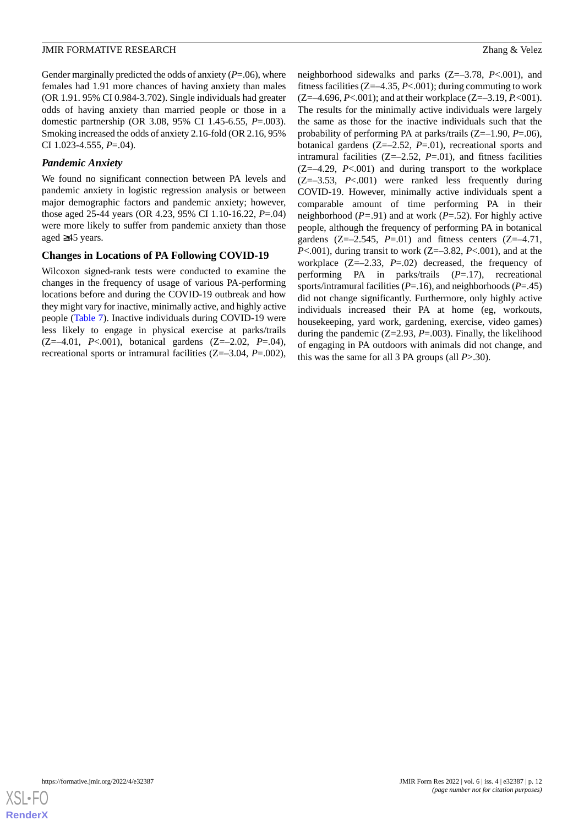Gender marginally predicted the odds of anxiety (*P*=.06), where females had 1.91 more chances of having anxiety than males (OR 1.91. 95% CI 0.984-3.702). Single individuals had greater odds of having anxiety than married people or those in a domestic partnership (OR 3.08, 95% CI 1.45-6.55, *P*=.003). Smoking increased the odds of anxiety 2.16-fold (OR 2.16, 95% CI 1.023-4.555, *P*=.04).

### *Pandemic Anxiety*

We found no significant connection between PA levels and pandemic anxiety in logistic regression analysis or between major demographic factors and pandemic anxiety; however, those aged 25-44 years (OR 4.23, 95% CI 1.10-16.22, *P*=.04) were more likely to suffer from pandemic anxiety than those aged ≥45 years.

### **Changes in Locations of PA Following COVID-19**

Wilcoxon signed-rank tests were conducted to examine the changes in the frequency of usage of various PA-performing locations before and during the COVID-19 outbreak and how they might vary for inactive, minimally active, and highly active people [\(Table 7](#page-12-0)). Inactive individuals during COVID-19 were less likely to engage in physical exercise at parks/trails (Z=–4.01, *P*<.001), botanical gardens (Z=–2.02, *P*=.04), recreational sports or intramural facilities (Z=–3.04, *P*=.002),

neighborhood sidewalks and parks (Z=–3.78, *P*<.001), and fitness facilities (Z=–4.35, *P*<.001); during commuting to work (Z=–4.696, *P*<.001); and at their workplace (Z=–3.19, *P.*<001). The results for the minimally active individuals were largely the same as those for the inactive individuals such that the probability of performing PA at parks/trails (Z=–1.90, *P*=.06), botanical gardens (Z=–2.52, *P*=.01), recreational sports and intramural facilities  $(Z=-2.52, P=.01)$ , and fitness facilities (Z=–4.29, *P*<.001) and during transport to the workplace (Z=–3.53, *P*<.001) were ranked less frequently during COVID-19. However, minimally active individuals spent a comparable amount of time performing PA in their neighborhood (*P=*.91) and at work (*P*=.52). For highly active people, although the frequency of performing PA in botanical gardens  $(Z=-2.545, P=-01)$  and fitness centers  $(Z=-4.71,$ *P*<.001), during transit to work (Z=–3.82, *P*<.001), and at the workplace (Z=–2.33, *P*=.02) decreased, the frequency of performing PA in parks/trails (*P*=.17), recreational sports/intramural facilities (*P*=.16), and neighborhoods (*P*=.45) did not change significantly. Furthermore, only highly active individuals increased their PA at home (eg, workouts, housekeeping, yard work, gardening, exercise, video games) during the pandemic (Z=2.93, *P*=.003). Finally, the likelihood of engaging in PA outdoors with animals did not change, and this was the same for all 3 PA groups (all *P*>.30).

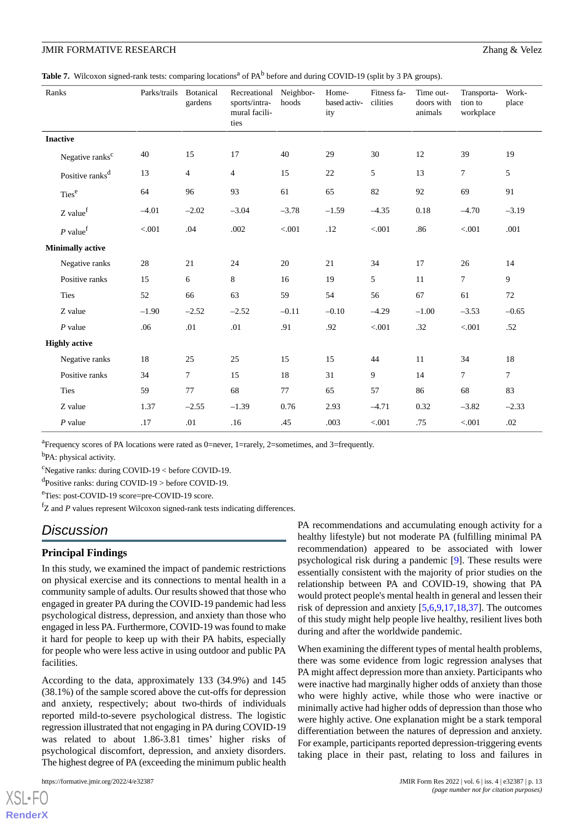<span id="page-12-0"></span>Table 7. Wilcoxon signed-rank tests: comparing locations<sup>a</sup> of PA<sup>b</sup> before and during COVID-19 (split by 3 PA groups).

| Ranks                       | Parks/trails | <b>Botanical</b><br>gardens | Recreational<br>sports/intra-<br>mural facili-<br>ties | Neighbor-<br>hoods | Home-<br>based activ-<br>ity | Fitness fa-<br>cilities | Time out-<br>doors with<br>animals | Transporta-<br>tion to<br>workplace | Work-<br>place |
|-----------------------------|--------------|-----------------------------|--------------------------------------------------------|--------------------|------------------------------|-------------------------|------------------------------------|-------------------------------------|----------------|
| <b>Inactive</b>             |              |                             |                                                        |                    |                              |                         |                                    |                                     |                |
| Negative ranks <sup>c</sup> | 40           | 15                          | 17                                                     | 40                 | 29                           | 30                      | 12                                 | 39                                  | 19             |
| Positive ranks <sup>d</sup> | 13           | $\overline{4}$              | $\overline{\mathbf{4}}$                                | 15                 | 22                           | 5                       | 13                                 | $\tau$                              | 5              |
| Ties <sup>e</sup>           | 64           | 96                          | 93                                                     | 61                 | 65                           | $82\,$                  | 92                                 | 69                                  | 91             |
| Z value <sup>f</sup>        | $-4.01$      | $-2.02$                     | $-3.04$                                                | $-3.78$            | $-1.59$                      | $-4.35$                 | 0.18                               | $-4.70$                             | $-3.19$        |
| $P$ value <sup>f</sup>      | < 0.001      | .04                         | .002                                                   | < 0.001            | .12                          | < 0.001                 | .86                                | < 0.001                             | .001           |
| <b>Minimally active</b>     |              |                             |                                                        |                    |                              |                         |                                    |                                     |                |
| Negative ranks              | 28           | 21                          | 24                                                     | 20                 | 21                           | 34                      | 17                                 | 26                                  | 14             |
| Positive ranks              | 15           | 6                           | $\,8\,$                                                | 16                 | 19                           | 5                       | 11                                 | $\overline{7}$                      | 9              |
| Ties                        | 52           | 66                          | 63                                                     | 59                 | 54                           | 56                      | 67                                 | 61                                  | 72             |
| Z value                     | $-1.90$      | $-2.52$                     | $-2.52$                                                | $-0.11$            | $-0.10$                      | $-4.29$                 | $-1.00$                            | $-3.53$                             | $-0.65$        |
| $P$ value                   | .06          | .01                         | .01                                                    | .91                | .92                          | $< 001$                 | .32                                | < 0.001                             | .52            |
| <b>Highly active</b>        |              |                             |                                                        |                    |                              |                         |                                    |                                     |                |
| Negative ranks              | 18           | 25                          | 25                                                     | 15                 | 15                           | 44                      | 11                                 | 34                                  | 18             |
| Positive ranks              | 34           | $\tau$                      | 15                                                     | 18                 | 31                           | 9                       | 14                                 | $\overline{7}$                      | $\tau$         |
| <b>Ties</b>                 | 59           | 77                          | 68                                                     | 77                 | 65                           | 57                      | 86                                 | 68                                  | 83             |
| Z value                     | 1.37         | $-2.55$                     | $-1.39$                                                | 0.76               | 2.93                         | $-4.71$                 | 0.32                               | $-3.82$                             | $-2.33$        |
| $P$ value                   | .17          | .01                         | .16                                                    | .45                | .003                         | < .001                  | .75                                | < .001                              | .02            |

<sup>a</sup> Frequency scores of PA locations were rated as 0=never, 1=rarely, 2=sometimes, and 3=frequently.

<sup>b</sup>PA: physical activity.

 $\text{c}^{\text{c}}$ Negative ranks: during COVID-19 < before COVID-19.

d Positive ranks: during COVID-19 > before COVID-19.

<sup>e</sup>Ties: post-COVID-19 score=pre-COVID-19 score.

 ${}^{f}Z$  and  $P$  values represent Wilcoxon signed-rank tests indicating differences.

# *Discussion*

### **Principal Findings**

In this study, we examined the impact of pandemic restrictions on physical exercise and its connections to mental health in a community sample of adults. Our results showed that those who engaged in greater PA during the COVID-19 pandemic had less psychological distress, depression, and anxiety than those who engaged in less PA. Furthermore, COVID-19 was found to make it hard for people to keep up with their PA habits, especially for people who were less active in using outdoor and public PA facilities.

According to the data, approximately 133 (34.9%) and 145 (38.1%) of the sample scored above the cut-offs for depression and anxiety, respectively; about two-thirds of individuals reported mild-to-severe psychological distress. The logistic regression illustrated that not engaging in PA during COVID-19 was related to about 1.86-3.81 times' higher risks of psychological discomfort, depression, and anxiety disorders. The highest degree of PA (exceeding the minimum public health

PA recommendations and accumulating enough activity for a healthy lifestyle) but not moderate PA (fulfilling minimal PA recommendation) appeared to be associated with lower psychological risk during a pandemic [[9\]](#page-15-0). These results were essentially consistent with the majority of prior studies on the relationship between PA and COVID-19, showing that PA would protect people's mental health in general and lessen their risk of depression and anxiety [\[5](#page-14-2),[6,](#page-14-1)[9](#page-15-0),[17,](#page-15-8)[18](#page-15-9),[37\]](#page-16-5). The outcomes of this study might help people live healthy, resilient lives both during and after the worldwide pandemic.

When examining the different types of mental health problems, there was some evidence from logic regression analyses that PA might affect depression more than anxiety. Participants who were inactive had marginally higher odds of anxiety than those who were highly active, while those who were inactive or minimally active had higher odds of depression than those who were highly active. One explanation might be a stark temporal differentiation between the natures of depression and anxiety. For example, participants reported depression-triggering events taking place in their past, relating to loss and failures in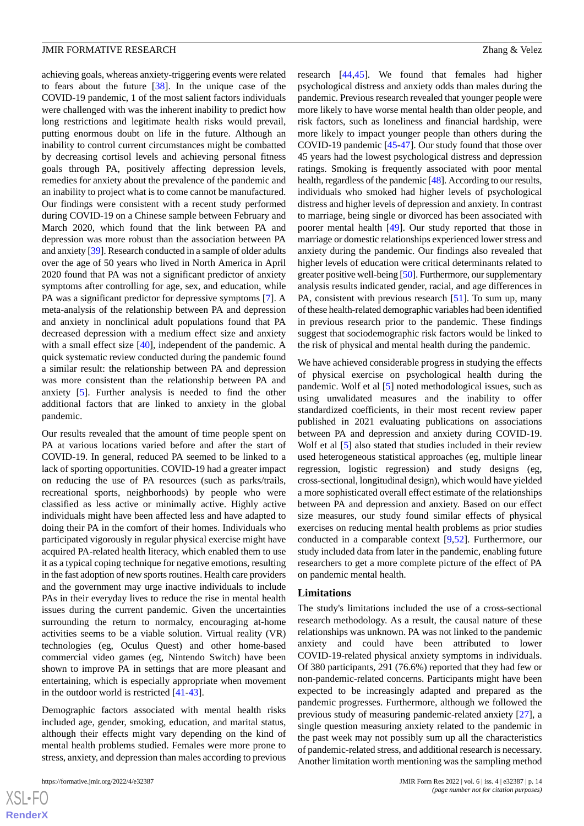achieving goals, whereas anxiety-triggering events were related to fears about the future [\[38](#page-16-6)]. In the unique case of the COVID-19 pandemic, 1 of the most salient factors individuals were challenged with was the inherent inability to predict how long restrictions and legitimate health risks would prevail, putting enormous doubt on life in the future. Although an inability to control current circumstances might be combatted by decreasing cortisol levels and achieving personal fitness goals through PA, positively affecting depression levels, remedies for anxiety about the prevalence of the pandemic and an inability to project what is to come cannot be manufactured. Our findings were consistent with a recent study performed during COVID-19 on a Chinese sample between February and March 2020, which found that the link between PA and depression was more robust than the association between PA and anxiety [[39](#page-16-7)]. Research conducted in a sample of older adults over the age of 50 years who lived in North America in April 2020 found that PA was not a significant predictor of anxiety symptoms after controlling for age, sex, and education, while PA was a significant predictor for depressive symptoms [[7\]](#page-14-5). A meta-analysis of the relationship between PA and depression and anxiety in nonclinical adult populations found that PA decreased depression with a medium effect size and anxiety with a small effect size [[40\]](#page-16-8), independent of the pandemic. A quick systematic review conducted during the pandemic found a similar result: the relationship between PA and depression was more consistent than the relationship between PA and anxiety [\[5](#page-14-2)]. Further analysis is needed to find the other additional factors that are linked to anxiety in the global pandemic.

Our results revealed that the amount of time people spent on PA at various locations varied before and after the start of COVID-19. In general, reduced PA seemed to be linked to a lack of sporting opportunities. COVID-19 had a greater impact on reducing the use of PA resources (such as parks/trails, recreational sports, neighborhoods) by people who were classified as less active or minimally active. Highly active individuals might have been affected less and have adapted to doing their PA in the comfort of their homes. Individuals who participated vigorously in regular physical exercise might have acquired PA-related health literacy, which enabled them to use it as a typical coping technique for negative emotions, resulting in the fast adoption of new sports routines. Health care providers and the government may urge inactive individuals to include PAs in their everyday lives to reduce the rise in mental health issues during the current pandemic. Given the uncertainties surrounding the return to normalcy, encouraging at-home activities seems to be a viable solution. Virtual reality (VR) technologies (eg, Oculus Quest) and other home-based commercial video games (eg, Nintendo Switch) have been shown to improve PA in settings that are more pleasant and entertaining, which is especially appropriate when movement in the outdoor world is restricted [\[41](#page-16-9)[-43](#page-16-10)].

Demographic factors associated with mental health risks included age, gender, smoking, education, and marital status, although their effects might vary depending on the kind of mental health problems studied. Females were more prone to stress, anxiety, and depression than males according to previous

research [\[44](#page-16-11),[45\]](#page-16-12). We found that females had higher psychological distress and anxiety odds than males during the pandemic. Previous research revealed that younger people were more likely to have worse mental health than older people, and risk factors, such as loneliness and financial hardship, were more likely to impact younger people than others during the COVID-19 pandemic [\[45](#page-16-12)[-47](#page-16-13)]. Our study found that those over 45 years had the lowest psychological distress and depression ratings. Smoking is frequently associated with poor mental health, regardless of the pandemic [\[48\]](#page-16-14). According to our results, individuals who smoked had higher levels of psychological distress and higher levels of depression and anxiety. In contrast to marriage, being single or divorced has been associated with poorer mental health [\[49](#page-16-15)]. Our study reported that those in marriage or domestic relationships experienced lower stress and anxiety during the pandemic. Our findings also revealed that higher levels of education were critical determinants related to greater positive well-being [[50\]](#page-16-16). Furthermore, our supplementary analysis results indicated gender, racial, and age differences in PA, consistent with previous research [[51\]](#page-16-17). To sum up, many of these health-related demographic variables had been identified in previous research prior to the pandemic. These findings suggest that sociodemographic risk factors would be linked to the risk of physical and mental health during the pandemic.

We have achieved considerable progress in studying the effects of physical exercise on psychological health during the pandemic. Wolf et al [\[5](#page-14-2)] noted methodological issues, such as using unvalidated measures and the inability to offer standardized coefficients, in their most recent review paper published in 2021 evaluating publications on associations between PA and depression and anxiety during COVID-19. Wolf et al [\[5](#page-14-2)] also stated that studies included in their review used heterogeneous statistical approaches (eg, multiple linear regression, logistic regression) and study designs (eg, cross-sectional, longitudinal design), which would have yielded a more sophisticated overall effect estimate of the relationships between PA and depression and anxiety. Based on our effect size measures, our study found similar effects of physical exercises on reducing mental health problems as prior studies conducted in a comparable context [[9](#page-15-0)[,52](#page-16-18)]. Furthermore, our study included data from later in the pandemic, enabling future researchers to get a more complete picture of the effect of PA on pandemic mental health.

#### **Limitations**

The study's limitations included the use of a cross-sectional research methodology. As a result, the causal nature of these relationships was unknown. PA was not linked to the pandemic anxiety and could have been attributed to lower COVID-19-related physical anxiety symptoms in individuals. Of 380 participants, 291 (76.6%) reported that they had few or non-pandemic-related concerns. Participants might have been expected to be increasingly adapted and prepared as the pandemic progresses. Furthermore, although we followed the previous study of measuring pandemic-related anxiety [[27\]](#page-15-18), a single question measuring anxiety related to the pandemic in the past week may not possibly sum up all the characteristics of pandemic-related stress, and additional research is necessary. Another limitation worth mentioning was the sampling method

```
XS-FO
RenderX
```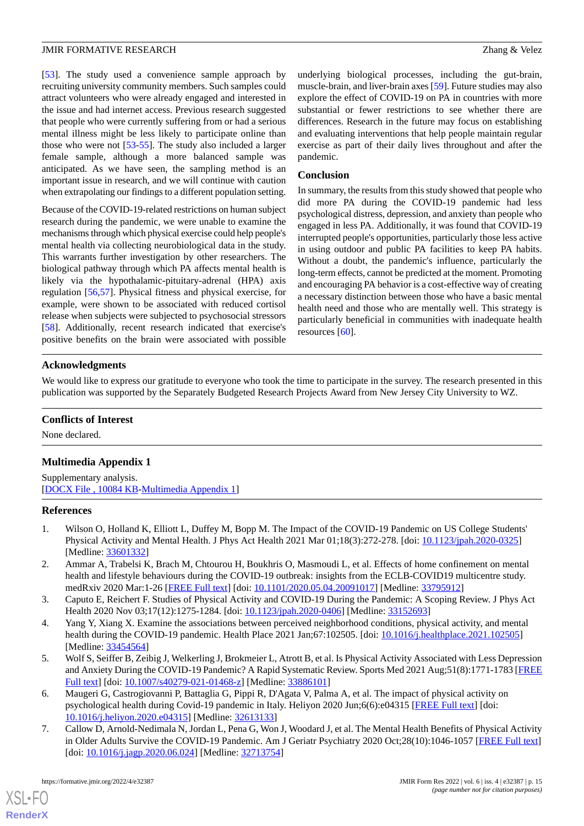[[53\]](#page-17-0). The study used a convenience sample approach by recruiting university community members. Such samples could attract volunteers who were already engaged and interested in the issue and had internet access. Previous research suggested that people who were currently suffering from or had a serious mental illness might be less likely to participate online than those who were not [[53-](#page-17-0)[55](#page-17-1)]. The study also included a larger female sample, although a more balanced sample was anticipated. As we have seen, the sampling method is an important issue in research, and we will continue with caution when extrapolating our findings to a different population setting.

Because of the COVID-19-related restrictions on human subject research during the pandemic, we were unable to examine the mechanisms through which physical exercise could help people's mental health via collecting neurobiological data in the study. This warrants further investigation by other researchers. The biological pathway through which PA affects mental health is likely via the hypothalamic-pituitary-adrenal (HPA) axis regulation [[56,](#page-17-2)[57](#page-17-3)]. Physical fitness and physical exercise, for example, were shown to be associated with reduced cortisol release when subjects were subjected to psychosocial stressors [[58\]](#page-17-4). Additionally, recent research indicated that exercise's positive benefits on the brain were associated with possible

underlying biological processes, including the gut-brain, muscle-brain, and liver-brain axes [\[59](#page-17-5)]. Future studies may also explore the effect of COVID-19 on PA in countries with more substantial or fewer restrictions to see whether there are differences. Research in the future may focus on establishing and evaluating interventions that help people maintain regular exercise as part of their daily lives throughout and after the pandemic.

### **Conclusion**

In summary, the results from this study showed that people who did more PA during the COVID-19 pandemic had less psychological distress, depression, and anxiety than people who engaged in less PA. Additionally, it was found that COVID-19 interrupted people's opportunities, particularly those less active in using outdoor and public PA facilities to keep PA habits. Without a doubt, the pandemic's influence, particularly the long-term effects, cannot be predicted at the moment. Promoting and encouraging PA behavior is a cost-effective way of creating a necessary distinction between those who have a basic mental health need and those who are mentally well. This strategy is particularly beneficial in communities with inadequate health resources [\[60](#page-17-6)].

### **Acknowledgments**

We would like to express our gratitude to everyone who took the time to participate in the survey. The research presented in this publication was supported by the Separately Budgeted Research Projects Award from New Jersey City University to WZ.

### <span id="page-14-4"></span>**Conflicts of Interest**

None declared.

# **Multimedia Appendix 1**

<span id="page-14-0"></span>Supplementary analysis. [[DOCX File , 10084 KB-Multimedia Appendix 1\]](https://jmir.org/api/download?alt_name=formative_v6i4e32387_app1.docx&filename=41cb7728edf0d469fd3a1c9b78361bec.docx)

### **References**

- <span id="page-14-3"></span>1. Wilson O, Holland K, Elliott L, Duffey M, Bopp M. The Impact of the COVID-19 Pandemic on US College Students' Physical Activity and Mental Health. J Phys Act Health 2021 Mar 01;18(3):272-278. [doi: [10.1123/jpah.2020-0325\]](http://dx.doi.org/10.1123/jpah.2020-0325) [Medline: [33601332](http://www.ncbi.nlm.nih.gov/entrez/query.fcgi?cmd=Retrieve&db=PubMed&list_uids=33601332&dopt=Abstract)]
- 2. Ammar A, Trabelsi K, Brach M, Chtourou H, Boukhris O, Masmoudi L, et al. Effects of home confinement on mental health and lifestyle behaviours during the COVID-19 outbreak: insights from the ECLB-COVID19 multicentre study. medRxiv 2020 Mar:1-26 [[FREE Full text\]](https://doi.org/10.5114/biolsport.2020.96857) [doi: [10.1101/2020.05.04.20091017\]](http://dx.doi.org/10.1101/2020.05.04.20091017) [Medline: [33795912\]](http://www.ncbi.nlm.nih.gov/entrez/query.fcgi?cmd=Retrieve&db=PubMed&list_uids=33795912&dopt=Abstract)
- <span id="page-14-2"></span>3. Caputo E, Reichert F. Studies of Physical Activity and COVID-19 During the Pandemic: A Scoping Review. J Phys Act Health 2020 Nov 03;17(12):1275-1284. [doi: [10.1123/jpah.2020-0406](http://dx.doi.org/10.1123/jpah.2020-0406)] [Medline: [33152693\]](http://www.ncbi.nlm.nih.gov/entrez/query.fcgi?cmd=Retrieve&db=PubMed&list_uids=33152693&dopt=Abstract)
- <span id="page-14-1"></span>4. Yang Y, Xiang X. Examine the associations between perceived neighborhood conditions, physical activity, and mental health during the COVID-19 pandemic. Health Place 2021 Jan;67:102505. [doi: [10.1016/j.healthplace.2021.102505\]](http://dx.doi.org/10.1016/j.healthplace.2021.102505) [Medline: [33454564](http://www.ncbi.nlm.nih.gov/entrez/query.fcgi?cmd=Retrieve&db=PubMed&list_uids=33454564&dopt=Abstract)]
- <span id="page-14-5"></span>5. Wolf S, Seiffer B, Zeibig J, Welkerling J, Brokmeier L, Atrott B, et al. Is Physical Activity Associated with Less Depression and Anxiety During the COVID-19 Pandemic? A Rapid Systematic Review. Sports Med 2021 Aug;51(8):1771-1783 [\[FREE](http://europepmc.org/abstract/MED/33886101) [Full text\]](http://europepmc.org/abstract/MED/33886101) [doi: [10.1007/s40279-021-01468-z\]](http://dx.doi.org/10.1007/s40279-021-01468-z) [Medline: [33886101\]](http://www.ncbi.nlm.nih.gov/entrez/query.fcgi?cmd=Retrieve&db=PubMed&list_uids=33886101&dopt=Abstract)
- 6. Maugeri G, Castrogiovanni P, Battaglia G, Pippi R, D'Agata V, Palma A, et al. The impact of physical activity on psychological health during Covid-19 pandemic in Italy. Heliyon 2020 Jun;6(6):e04315 [\[FREE Full text\]](https://linkinghub.elsevier.com/retrieve/pii/S2405-8440(20)31159-2) [doi: [10.1016/j.heliyon.2020.e04315\]](http://dx.doi.org/10.1016/j.heliyon.2020.e04315) [Medline: [32613133](http://www.ncbi.nlm.nih.gov/entrez/query.fcgi?cmd=Retrieve&db=PubMed&list_uids=32613133&dopt=Abstract)]
- 7. Callow D, Arnold-Nedimala N, Jordan L, Pena G, Won J, Woodard J, et al. The Mental Health Benefits of Physical Activity in Older Adults Survive the COVID-19 Pandemic. Am J Geriatr Psychiatry 2020 Oct;28(10):1046-1057 [\[FREE Full text\]](http://europepmc.org/abstract/MED/32713754) [doi: [10.1016/j.jagp.2020.06.024](http://dx.doi.org/10.1016/j.jagp.2020.06.024)] [Medline: [32713754\]](http://www.ncbi.nlm.nih.gov/entrez/query.fcgi?cmd=Retrieve&db=PubMed&list_uids=32713754&dopt=Abstract)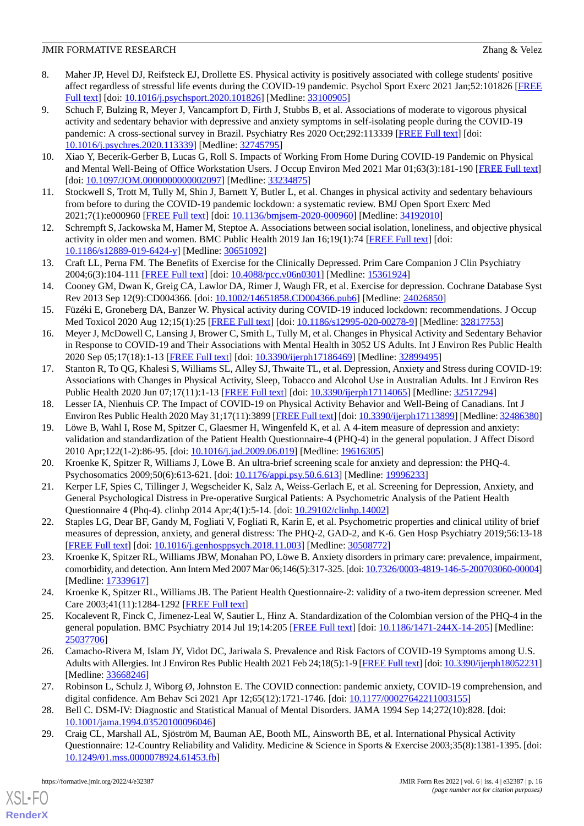- 8. Maher JP, Hevel DJ, Reifsteck EJ, Drollette ES. Physical activity is positively associated with college students' positive affect regardless of stressful life events during the COVID-19 pandemic. Psychol Sport Exerc 2021 Jan;52:101826 [\[FREE](http://europepmc.org/abstract/MED/33100905) [Full text\]](http://europepmc.org/abstract/MED/33100905) [doi: [10.1016/j.psychsport.2020.101826](http://dx.doi.org/10.1016/j.psychsport.2020.101826)] [Medline: [33100905\]](http://www.ncbi.nlm.nih.gov/entrez/query.fcgi?cmd=Retrieve&db=PubMed&list_uids=33100905&dopt=Abstract)
- <span id="page-15-0"></span>9. Schuch F, Bulzing R, Meyer J, Vancampfort D, Firth J, Stubbs B, et al. Associations of moderate to vigorous physical activity and sedentary behavior with depressive and anxiety symptoms in self-isolating people during the COVID-19 pandemic: A cross-sectional survey in Brazil. Psychiatry Res 2020 Oct;292:113339 [\[FREE Full text\]](http://europepmc.org/abstract/MED/32745795) [doi: [10.1016/j.psychres.2020.113339](http://dx.doi.org/10.1016/j.psychres.2020.113339)] [Medline: [32745795\]](http://www.ncbi.nlm.nih.gov/entrez/query.fcgi?cmd=Retrieve&db=PubMed&list_uids=32745795&dopt=Abstract)
- <span id="page-15-2"></span><span id="page-15-1"></span>10. Xiao Y, Becerik-Gerber B, Lucas G, Roll S. Impacts of Working From Home During COVID-19 Pandemic on Physical and Mental Well-Being of Office Workstation Users. J Occup Environ Med 2021 Mar 01;63(3):181-190 [\[FREE Full text\]](http://europepmc.org/abstract/MED/33234875) [doi: [10.1097/JOM.0000000000002097\]](http://dx.doi.org/10.1097/JOM.0000000000002097) [Medline: [33234875\]](http://www.ncbi.nlm.nih.gov/entrez/query.fcgi?cmd=Retrieve&db=PubMed&list_uids=33234875&dopt=Abstract)
- <span id="page-15-3"></span>11. Stockwell S, Trott M, Tully M, Shin J, Barnett Y, Butler L, et al. Changes in physical activity and sedentary behaviours from before to during the COVID-19 pandemic lockdown: a systematic review. BMJ Open Sport Exerc Med 2021;7(1):e000960 [\[FREE Full text](https://doi.org/10.1136/bmjsem-2020-000960)] [doi: [10.1136/bmjsem-2020-000960](http://dx.doi.org/10.1136/bmjsem-2020-000960)] [Medline: [34192010](http://www.ncbi.nlm.nih.gov/entrez/query.fcgi?cmd=Retrieve&db=PubMed&list_uids=34192010&dopt=Abstract)]
- <span id="page-15-4"></span>12. Schrempft S, Jackowska M, Hamer M, Steptoe A. Associations between social isolation, loneliness, and objective physical activity in older men and women. BMC Public Health 2019 Jan 16;19(1):74 [\[FREE Full text\]](https://bmcpublichealth.biomedcentral.com/articles/10.1186/s12889-019-6424-y) [doi: [10.1186/s12889-019-6424-y\]](http://dx.doi.org/10.1186/s12889-019-6424-y) [Medline: [30651092](http://www.ncbi.nlm.nih.gov/entrez/query.fcgi?cmd=Retrieve&db=PubMed&list_uids=30651092&dopt=Abstract)]
- <span id="page-15-5"></span>13. Craft LL, Perna FM. The Benefits of Exercise for the Clinically Depressed. Prim Care Companion J Clin Psychiatry 2004;6(3):104-111 [[FREE Full text](http://www.psychiatrist.com/pcc/benefits-exercise-clinically-depressed)] [doi: [10.4088/pcc.v06n0301](http://dx.doi.org/10.4088/pcc.v06n0301)] [Medline: [15361924\]](http://www.ncbi.nlm.nih.gov/entrez/query.fcgi?cmd=Retrieve&db=PubMed&list_uids=15361924&dopt=Abstract)
- <span id="page-15-6"></span>14. Cooney GM, Dwan K, Greig CA, Lawlor DA, Rimer J, Waugh FR, et al. Exercise for depression. Cochrane Database Syst Rev 2013 Sep 12(9):CD004366. [doi: [10.1002/14651858.CD004366.pub6\]](http://dx.doi.org/10.1002/14651858.CD004366.pub6) [Medline: [24026850\]](http://www.ncbi.nlm.nih.gov/entrez/query.fcgi?cmd=Retrieve&db=PubMed&list_uids=24026850&dopt=Abstract)
- <span id="page-15-7"></span>15. Füzéki E, Groneberg DA, Banzer W. Physical activity during COVID-19 induced lockdown: recommendations. J Occup Med Toxicol 2020 Aug 12;15(1):25 [\[FREE Full text\]](https://occup-med.biomedcentral.com/articles/10.1186/s12995-020-00278-9) [doi: [10.1186/s12995-020-00278-9](http://dx.doi.org/10.1186/s12995-020-00278-9)] [Medline: [32817753](http://www.ncbi.nlm.nih.gov/entrez/query.fcgi?cmd=Retrieve&db=PubMed&list_uids=32817753&dopt=Abstract)]
- <span id="page-15-8"></span>16. Meyer J, McDowell C, Lansing J, Brower C, Smith L, Tully M, et al. Changes in Physical Activity and Sedentary Behavior in Response to COVID-19 and Their Associations with Mental Health in 3052 US Adults. Int J Environ Res Public Health 2020 Sep 05;17(18):1-13 [[FREE Full text](https://www.mdpi.com/resolver?pii=ijerph17186469)] [doi: [10.3390/ijerph17186469](http://dx.doi.org/10.3390/ijerph17186469)] [Medline: [32899495\]](http://www.ncbi.nlm.nih.gov/entrez/query.fcgi?cmd=Retrieve&db=PubMed&list_uids=32899495&dopt=Abstract)
- <span id="page-15-10"></span><span id="page-15-9"></span>17. Stanton R, To QG, Khalesi S, Williams SL, Alley SJ, Thwaite TL, et al. Depression, Anxiety and Stress during COVID-19: Associations with Changes in Physical Activity, Sleep, Tobacco and Alcohol Use in Australian Adults. Int J Environ Res Public Health 2020 Jun 07;17(11):1-13 [\[FREE Full text](https://www.mdpi.com/resolver?pii=ijerph17114065)] [doi: [10.3390/ijerph17114065](http://dx.doi.org/10.3390/ijerph17114065)] [Medline: [32517294](http://www.ncbi.nlm.nih.gov/entrez/query.fcgi?cmd=Retrieve&db=PubMed&list_uids=32517294&dopt=Abstract)]
- 18. Lesser IA, Nienhuis CP. The Impact of COVID-19 on Physical Activity Behavior and Well-Being of Canadians. Int J Environ Res Public Health 2020 May 31;17(11):3899 [\[FREE Full text](https://www.mdpi.com/resolver?pii=ijerph17113899)] [doi: [10.3390/ijerph17113899\]](http://dx.doi.org/10.3390/ijerph17113899) [Medline: [32486380\]](http://www.ncbi.nlm.nih.gov/entrez/query.fcgi?cmd=Retrieve&db=PubMed&list_uids=32486380&dopt=Abstract)
- <span id="page-15-12"></span><span id="page-15-11"></span>19. Löwe B, Wahl I, Rose M, Spitzer C, Glaesmer H, Wingenfeld K, et al. A 4-item measure of depression and anxiety: validation and standardization of the Patient Health Questionnaire-4 (PHQ-4) in the general population. J Affect Disord 2010 Apr;122(1-2):86-95. [doi: [10.1016/j.jad.2009.06.019](http://dx.doi.org/10.1016/j.jad.2009.06.019)] [Medline: [19616305\]](http://www.ncbi.nlm.nih.gov/entrez/query.fcgi?cmd=Retrieve&db=PubMed&list_uids=19616305&dopt=Abstract)
- <span id="page-15-13"></span>20. Kroenke K, Spitzer R, Williams J, Löwe B. An ultra-brief screening scale for anxiety and depression: the PHQ-4. Psychosomatics 2009;50(6):613-621. [doi: [10.1176/appi.psy.50.6.613\]](http://dx.doi.org/10.1176/appi.psy.50.6.613) [Medline: [19996233](http://www.ncbi.nlm.nih.gov/entrez/query.fcgi?cmd=Retrieve&db=PubMed&list_uids=19996233&dopt=Abstract)]
- <span id="page-15-14"></span>21. Kerper LF, Spies C, Tillinger J, Wegscheider K, Salz A, Weiss-Gerlach E, et al. Screening for Depression, Anxiety, and General Psychological Distress in Pre-operative Surgical Patients: A Psychometric Analysis of the Patient Health Questionnaire 4 (Phq-4). clinhp 2014 Apr;4(1):5-14. [doi: [10.29102/clinhp.14002](http://dx.doi.org/10.29102/clinhp.14002)]
- <span id="page-15-15"></span>22. Staples LG, Dear BF, Gandy M, Fogliati V, Fogliati R, Karin E, et al. Psychometric properties and clinical utility of brief measures of depression, anxiety, and general distress: The PHQ-2, GAD-2, and K-6. Gen Hosp Psychiatry 2019;56:13-18 [[FREE Full text](https://linkinghub.elsevier.com/retrieve/pii/S0163-8343(18)30371-2)] [doi: [10.1016/j.genhosppsych.2018.11.003](http://dx.doi.org/10.1016/j.genhosppsych.2018.11.003)] [Medline: [30508772\]](http://www.ncbi.nlm.nih.gov/entrez/query.fcgi?cmd=Retrieve&db=PubMed&list_uids=30508772&dopt=Abstract)
- <span id="page-15-16"></span>23. Kroenke K, Spitzer RL, Williams JBW, Monahan PO, Löwe B. Anxiety disorders in primary care: prevalence, impairment, comorbidity, and detection. Ann Intern Med 2007 Mar 06;146(5):317-325. [doi: [10.7326/0003-4819-146-5-200703060-00004\]](http://dx.doi.org/10.7326/0003-4819-146-5-200703060-00004) [Medline: [17339617](http://www.ncbi.nlm.nih.gov/entrez/query.fcgi?cmd=Retrieve&db=PubMed&list_uids=17339617&dopt=Abstract)]
- <span id="page-15-17"></span>24. Kroenke K, Spitzer RL, Williams JB. The Patient Health Questionnaire-2: validity of a two-item depression screener. Med Care 2003;41(11):1284-1292 [\[FREE Full text\]](https://www.jstor.org/stable/3768417?seq=1#metadata_info_tab_contents)
- <span id="page-15-18"></span>25. Kocalevent R, Finck C, Jimenez-Leal W, Sautier L, Hinz A. Standardization of the Colombian version of the PHQ-4 in the general population. BMC Psychiatry 2014 Jul 19;14:205 [[FREE Full text](https://bmcpsychiatry.biomedcentral.com/articles/10.1186/1471-244X-14-205)] [doi: [10.1186/1471-244X-14-205\]](http://dx.doi.org/10.1186/1471-244X-14-205) [Medline: [25037706](http://www.ncbi.nlm.nih.gov/entrez/query.fcgi?cmd=Retrieve&db=PubMed&list_uids=25037706&dopt=Abstract)]
- <span id="page-15-20"></span><span id="page-15-19"></span>26. Camacho-Rivera M, Islam JY, Vidot DC, Jariwala S. Prevalence and Risk Factors of COVID-19 Symptoms among U.S. Adults with Allergies. Int J Environ Res Public Health 2021 Feb 24;18(5):1-9 [\[FREE Full text\]](https://www.mdpi.com/resolver?pii=ijerph18052231) [doi: [10.3390/ijerph18052231](http://dx.doi.org/10.3390/ijerph18052231)] [Medline: [33668246](http://www.ncbi.nlm.nih.gov/entrez/query.fcgi?cmd=Retrieve&db=PubMed&list_uids=33668246&dopt=Abstract)]
- 27. Robinson L, Schulz J, Wiborg Ø, Johnston E. The COVID connection: pandemic anxiety, COVID-19 comprehension, and digital confidence. Am Behav Sci 2021 Apr 12;65(12):1721-1746. [doi: [10.1177/00027642211003155\]](http://dx.doi.org/10.1177/00027642211003155)
- 28. Bell C. DSM-IV: Diagnostic and Statistical Manual of Mental Disorders. JAMA 1994 Sep 14;272(10):828. [doi: [10.1001/jama.1994.03520100096046](http://dx.doi.org/10.1001/jama.1994.03520100096046)]
- 29. Craig CL, Marshall AL, Sjöström M, Bauman AE, Booth ML, Ainsworth BE, et al. International Physical Activity Questionnaire: 12-Country Reliability and Validity. Medicine & Science in Sports & Exercise 2003;35(8):1381-1395. [doi: [10.1249/01.mss.0000078924.61453.fb\]](http://dx.doi.org/10.1249/01.mss.0000078924.61453.fb)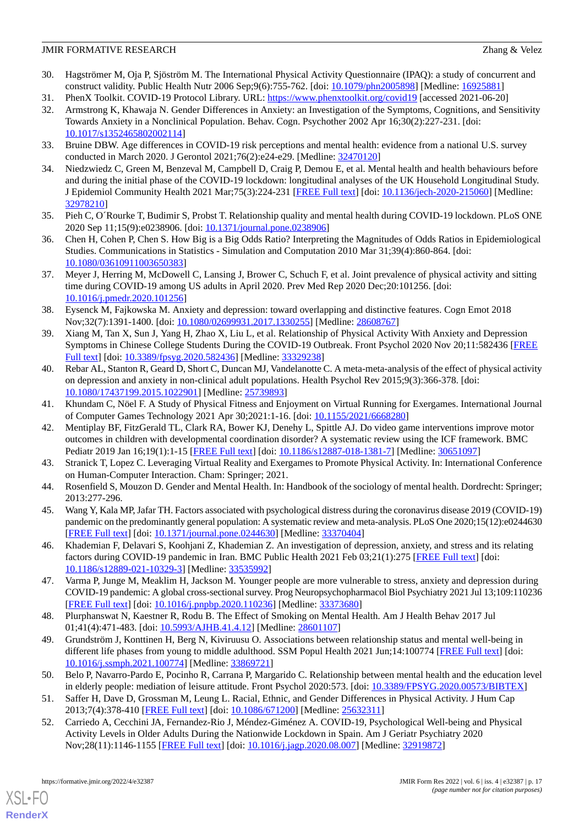- <span id="page-16-0"></span>30. Hagströmer M, Oja P, Sjöström M. The International Physical Activity Questionnaire (IPAQ): a study of concurrent and construct validity. Public Health Nutr 2006 Sep;9(6):755-762. [doi: [10.1079/phn2005898](http://dx.doi.org/10.1079/phn2005898)] [Medline: [16925881\]](http://www.ncbi.nlm.nih.gov/entrez/query.fcgi?cmd=Retrieve&db=PubMed&list_uids=16925881&dopt=Abstract)
- <span id="page-16-2"></span><span id="page-16-1"></span>31. PhenX Toolkit. COVID-19 Protocol Library. URL: <https://www.phenxtoolkit.org/covid19> [accessed 2021-06-20]
- 32. Armstrong K, Khawaja N. Gender Differences in Anxiety: an Investigation of the Symptoms, Cognitions, and Sensitivity Towards Anxiety in a Nonclinical Population. Behav. Cogn. Psychother 2002 Apr 16;30(2):227-231. [doi: [10.1017/s1352465802002114\]](http://dx.doi.org/10.1017/s1352465802002114)
- 33. Bruine DBW. Age differences in COVID-19 risk perceptions and mental health: evidence from a national U.S. survey conducted in March 2020. J Gerontol 2021;76(2):e24-e29. [Medline: [32470120\]](http://www.ncbi.nlm.nih.gov/entrez/query.fcgi?cmd=Retrieve&db=PubMed&list_uids=32470120&dopt=Abstract)
- 34. Niedzwiedz C, Green M, Benzeval M, Campbell D, Craig P, Demou E, et al. Mental health and health behaviours before and during the initial phase of the COVID-19 lockdown: longitudinal analyses of the UK Household Longitudinal Study. J Epidemiol Community Health 2021 Mar;75(3):224-231 [\[FREE Full text](http://jech.bmj.com/lookup/pmidlookup?view=long&pmid=32978210)] [doi: [10.1136/jech-2020-215060](http://dx.doi.org/10.1136/jech-2020-215060)] [Medline: [32978210](http://www.ncbi.nlm.nih.gov/entrez/query.fcgi?cmd=Retrieve&db=PubMed&list_uids=32978210&dopt=Abstract)]
- <span id="page-16-4"></span><span id="page-16-3"></span>35. Pieh C, O´Rourke T, Budimir S, Probst T. Relationship quality and mental health during COVID-19 lockdown. PLoS ONE 2020 Sep 11;15(9):e0238906. [doi: [10.1371/journal.pone.0238906\]](http://dx.doi.org/10.1371/journal.pone.0238906)
- <span id="page-16-5"></span>36. Chen H, Cohen P, Chen S. How Big is a Big Odds Ratio? Interpreting the Magnitudes of Odds Ratios in Epidemiological Studies. Communications in Statistics - Simulation and Computation 2010 Mar 31;39(4):860-864. [doi: [10.1080/03610911003650383\]](http://dx.doi.org/10.1080/03610911003650383)
- <span id="page-16-6"></span>37. Meyer J, Herring M, McDowell C, Lansing J, Brower C, Schuch F, et al. Joint prevalence of physical activity and sitting time during COVID-19 among US adults in April 2020. Prev Med Rep 2020 Dec;20:101256. [doi: [10.1016/j.pmedr.2020.101256](http://dx.doi.org/10.1016/j.pmedr.2020.101256)]
- <span id="page-16-7"></span>38. Eysenck M, Fajkowska M. Anxiety and depression: toward overlapping and distinctive features. Cogn Emot 2018 Nov;32(7):1391-1400. [doi: [10.1080/02699931.2017.1330255\]](http://dx.doi.org/10.1080/02699931.2017.1330255) [Medline: [28608767\]](http://www.ncbi.nlm.nih.gov/entrez/query.fcgi?cmd=Retrieve&db=PubMed&list_uids=28608767&dopt=Abstract)
- <span id="page-16-8"></span>39. Xiang M, Tan X, Sun J, Yang H, Zhao X, Liu L, et al. Relationship of Physical Activity With Anxiety and Depression Symptoms in Chinese College Students During the COVID-19 Outbreak. Front Psychol 2020 Nov 20;11:582436 [[FREE](https://doi.org/10.3389/fpsyg.2020.582436) [Full text\]](https://doi.org/10.3389/fpsyg.2020.582436) [doi: [10.3389/fpsyg.2020.582436\]](http://dx.doi.org/10.3389/fpsyg.2020.582436) [Medline: [33329238\]](http://www.ncbi.nlm.nih.gov/entrez/query.fcgi?cmd=Retrieve&db=PubMed&list_uids=33329238&dopt=Abstract)
- <span id="page-16-9"></span>40. Rebar AL, Stanton R, Geard D, Short C, Duncan MJ, Vandelanotte C. A meta-meta-analysis of the effect of physical activity on depression and anxiety in non-clinical adult populations. Health Psychol Rev 2015;9(3):366-378. [doi: [10.1080/17437199.2015.1022901\]](http://dx.doi.org/10.1080/17437199.2015.1022901) [Medline: [25739893\]](http://www.ncbi.nlm.nih.gov/entrez/query.fcgi?cmd=Retrieve&db=PubMed&list_uids=25739893&dopt=Abstract)
- 41. Khundam C, Nöel F. A Study of Physical Fitness and Enjoyment on Virtual Running for Exergames. International Journal of Computer Games Technology 2021 Apr 30;2021:1-16. [doi: [10.1155/2021/6668280\]](http://dx.doi.org/10.1155/2021/6668280)
- <span id="page-16-11"></span><span id="page-16-10"></span>42. Mentiplay BF, FitzGerald TL, Clark RA, Bower KJ, Denehy L, Spittle AJ. Do video game interventions improve motor outcomes in children with developmental coordination disorder? A systematic review using the ICF framework. BMC Pediatr 2019 Jan 16;19(1):1-15 [\[FREE Full text\]](https://bmcpediatr.biomedcentral.com/articles/10.1186/s12887-018-1381-7) [doi: [10.1186/s12887-018-1381-7\]](http://dx.doi.org/10.1186/s12887-018-1381-7) [Medline: [30651097\]](http://www.ncbi.nlm.nih.gov/entrez/query.fcgi?cmd=Retrieve&db=PubMed&list_uids=30651097&dopt=Abstract)
- <span id="page-16-12"></span>43. Stranick T, Lopez C. Leveraging Virtual Reality and Exergames to Promote Physical Activity. In: International Conference on Human-Computer Interaction. Cham: Springer; 2021.
- 44. Rosenfield S, Mouzon D. Gender and Mental Health. In: Handbook of the sociology of mental health. Dordrecht: Springer; 2013:277-296.
- <span id="page-16-13"></span>45. Wang Y, Kala MP, Jafar TH. Factors associated with psychological distress during the coronavirus disease 2019 (COVID-19) pandemic on the predominantly general population: A systematic review and meta-analysis. PLoS One 2020;15(12):e0244630 [[FREE Full text](https://dx.plos.org/10.1371/journal.pone.0244630)] [doi: [10.1371/journal.pone.0244630](http://dx.doi.org/10.1371/journal.pone.0244630)] [Medline: [33370404](http://www.ncbi.nlm.nih.gov/entrez/query.fcgi?cmd=Retrieve&db=PubMed&list_uids=33370404&dopt=Abstract)]
- <span id="page-16-14"></span>46. Khademian F, Delavari S, Koohjani Z, Khademian Z. An investigation of depression, anxiety, and stress and its relating factors during COVID-19 pandemic in Iran. BMC Public Health 2021 Feb 03;21(1):275 [\[FREE Full text\]](https://bmcpublichealth.biomedcentral.com/articles/10.1186/s12889-021-10329-3) [doi: [10.1186/s12889-021-10329-3\]](http://dx.doi.org/10.1186/s12889-021-10329-3) [Medline: [33535992\]](http://www.ncbi.nlm.nih.gov/entrez/query.fcgi?cmd=Retrieve&db=PubMed&list_uids=33535992&dopt=Abstract)
- <span id="page-16-15"></span>47. Varma P, Junge M, Meaklim H, Jackson M. Younger people are more vulnerable to stress, anxiety and depression during COVID-19 pandemic: A global cross-sectional survey. Prog Neuropsychopharmacol Biol Psychiatry 2021 Jul 13;109:110236 [[FREE Full text](http://europepmc.org/abstract/MED/33373680)] [doi: [10.1016/j.pnpbp.2020.110236](http://dx.doi.org/10.1016/j.pnpbp.2020.110236)] [Medline: [33373680\]](http://www.ncbi.nlm.nih.gov/entrez/query.fcgi?cmd=Retrieve&db=PubMed&list_uids=33373680&dopt=Abstract)
- <span id="page-16-16"></span>48. Plurphanswat N, Kaestner R, Rodu B. The Effect of Smoking on Mental Health. Am J Health Behav 2017 Jul 01;41(4):471-483. [doi: [10.5993/AJHB.41.4.12](http://dx.doi.org/10.5993/AJHB.41.4.12)] [Medline: [28601107](http://www.ncbi.nlm.nih.gov/entrez/query.fcgi?cmd=Retrieve&db=PubMed&list_uids=28601107&dopt=Abstract)]
- <span id="page-16-18"></span><span id="page-16-17"></span>49. Grundström J, Konttinen H, Berg N, Kiviruusu O. Associations between relationship status and mental well-being in different life phases from young to middle adulthood. SSM Popul Health 2021 Jun;14:100774 [\[FREE Full text\]](https://linkinghub.elsevier.com/retrieve/pii/S2352-8273(21)00049-5) [doi: [10.1016/j.ssmph.2021.100774\]](http://dx.doi.org/10.1016/j.ssmph.2021.100774) [Medline: [33869721](http://www.ncbi.nlm.nih.gov/entrez/query.fcgi?cmd=Retrieve&db=PubMed&list_uids=33869721&dopt=Abstract)]
- 50. Belo P, Navarro-Pardo E, Pocinho R, Carrana P, Margarido C. Relationship between mental health and the education level in elderly people: mediation of leisure attitude. Front Psychol 2020:573. [doi: [10.3389/FPSYG.2020.00573/BIBTEX](http://dx.doi.org/10.3389/FPSYG.2020.00573/BIBTEX)]
- 51. Saffer H, Dave D, Grossman M, Leung L. Racial, Ethnic, and Gender Differences in Physical Activity. J Hum Cap 2013;7(4):378-410 [[FREE Full text](http://europepmc.org/abstract/MED/25632311)] [doi: [10.1086/671200\]](http://dx.doi.org/10.1086/671200) [Medline: [25632311\]](http://www.ncbi.nlm.nih.gov/entrez/query.fcgi?cmd=Retrieve&db=PubMed&list_uids=25632311&dopt=Abstract)
- 52. Carriedo A, Cecchini JA, Fernandez-Rio J, Méndez-Giménez A. COVID-19, Psychological Well-being and Physical Activity Levels in Older Adults During the Nationwide Lockdown in Spain. Am J Geriatr Psychiatry 2020 Nov;28(11):1146-1155 [[FREE Full text](http://europepmc.org/abstract/MED/32919872)] [doi: [10.1016/j.jagp.2020.08.007\]](http://dx.doi.org/10.1016/j.jagp.2020.08.007) [Medline: [32919872\]](http://www.ncbi.nlm.nih.gov/entrez/query.fcgi?cmd=Retrieve&db=PubMed&list_uids=32919872&dopt=Abstract)